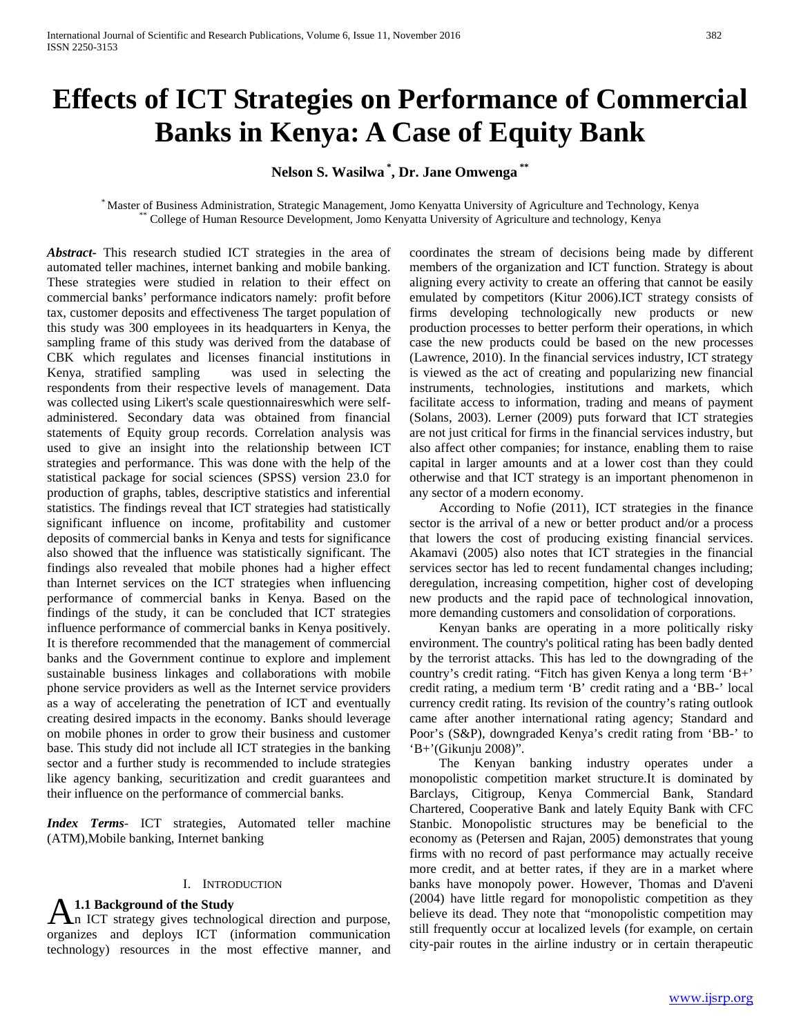# **Effects of ICT Strategies on Performance of Commercial Banks in Kenya: A Case of Equity Bank**

**Nelson S. Wasilwa \* , Dr. Jane Omwenga \*\***

\* Master of Business Administration, Strategic Management, Jomo Kenyatta University of Agriculture and Technology, Kenya \*\* College of Human Resource Development, Jomo Kenyatta University of Agriculture and technology, Kenya

*Abstract***-** This research studied ICT strategies in the area of automated teller machines, internet banking and mobile banking. These strategies were studied in relation to their effect on commercial banks' performance indicators namely: profit before tax, customer deposits and effectiveness The target population of this study was 300 employees in its headquarters in Kenya, the sampling frame of this study was derived from the database of CBK which regulates and licenses financial institutions in Kenya, stratified sampling was used in selecting the respondents from their respective levels of management. Data was collected using Likert's scale questionnaireswhich were selfadministered. Secondary data was obtained from financial statements of Equity group records. Correlation analysis was used to give an insight into the relationship between ICT strategies and performance. This was done with the help of the statistical package for social sciences (SPSS) version 23.0 for production of graphs, tables, descriptive statistics and inferential statistics. The findings reveal that ICT strategies had statistically significant influence on income, profitability and customer deposits of commercial banks in Kenya and tests for significance also showed that the influence was statistically significant. The findings also revealed that mobile phones had a higher effect than Internet services on the ICT strategies when influencing performance of commercial banks in Kenya. Based on the findings of the study, it can be concluded that ICT strategies influence performance of commercial banks in Kenya positively. It is therefore recommended that the management of commercial banks and the Government continue to explore and implement sustainable business linkages and collaborations with mobile phone service providers as well as the Internet service providers as a way of accelerating the penetration of ICT and eventually creating desired impacts in the economy. Banks should leverage on mobile phones in order to grow their business and customer base. This study did not include all ICT strategies in the banking sector and a further study is recommended to include strategies like agency banking, securitization and credit guarantees and their influence on the performance of commercial banks.

*Index Terms*- ICT strategies, Automated teller machine (ATM),Mobile banking, Internet banking

#### I. INTRODUCTION

**1.1 Background of the Study**

n ICT strategy gives technological direction and purpose, **A.1.1 Background of the Study**<br>
organizes and deploys ICT (information communication<br>
organizes and deploys ICT (information communication technology) resources in the most effective manner, and

coordinates the stream of decisions being made by different members of the organization and ICT function. Strategy is about aligning every activity to create an offering that cannot be easily emulated by competitors (Kitur 2006).ICT strategy consists of firms developing technologically new products or new production processes to better perform their operations, in which case the new products could be based on the new processes (Lawrence, 2010). In the financial services industry, ICT strategy is viewed as the act of creating and popularizing new financial instruments, technologies, institutions and markets, which facilitate access to information, trading and means of payment (Solans, 2003). Lerner (2009) puts forward that ICT strategies are not just critical for firms in the financial services industry, but also affect other companies; for instance, enabling them to raise capital in larger amounts and at a lower cost than they could otherwise and that ICT strategy is an important phenomenon in any sector of a modern economy.

 According to Nofie (2011), ICT strategies in the finance sector is the arrival of a new or better product and/or a process that lowers the cost of producing existing financial services. Akamavi (2005) also notes that ICT strategies in the financial services sector has led to recent fundamental changes including; deregulation, increasing competition, higher cost of developing new products and the rapid pace of technological innovation, more demanding customers and consolidation of corporations.

 Kenyan banks are operating in a more politically risky environment. The country's political rating has been badly dented by the terrorist attacks. This has led to the downgrading of the country's credit rating. "Fitch has given Kenya a long term 'B+' credit rating, a medium term 'B' credit rating and a 'BB-' local currency credit rating. Its revision of the country's rating outlook came after another international rating agency; Standard and Poor's (S&P), downgraded Kenya's credit rating from 'BB-' to 'B+'(Gikunju 2008)".

 The Kenyan banking industry operates under a monopolistic competition market structure.It is dominated by Barclays, Citigroup, Kenya Commercial Bank, Standard Chartered, Cooperative Bank and lately Equity Bank with CFC Stanbic. Monopolistic structures may be beneficial to the economy as (Petersen and Rajan, 2005) demonstrates that young firms with no record of past performance may actually receive more credit, and at better rates, if they are in a market where banks have monopoly power. However, Thomas and D'aveni (2004) have little regard for monopolistic competition as they believe its dead. They note that "monopolistic competition may still frequently occur at localized levels (for example, on certain city-pair routes in the airline industry or in certain therapeutic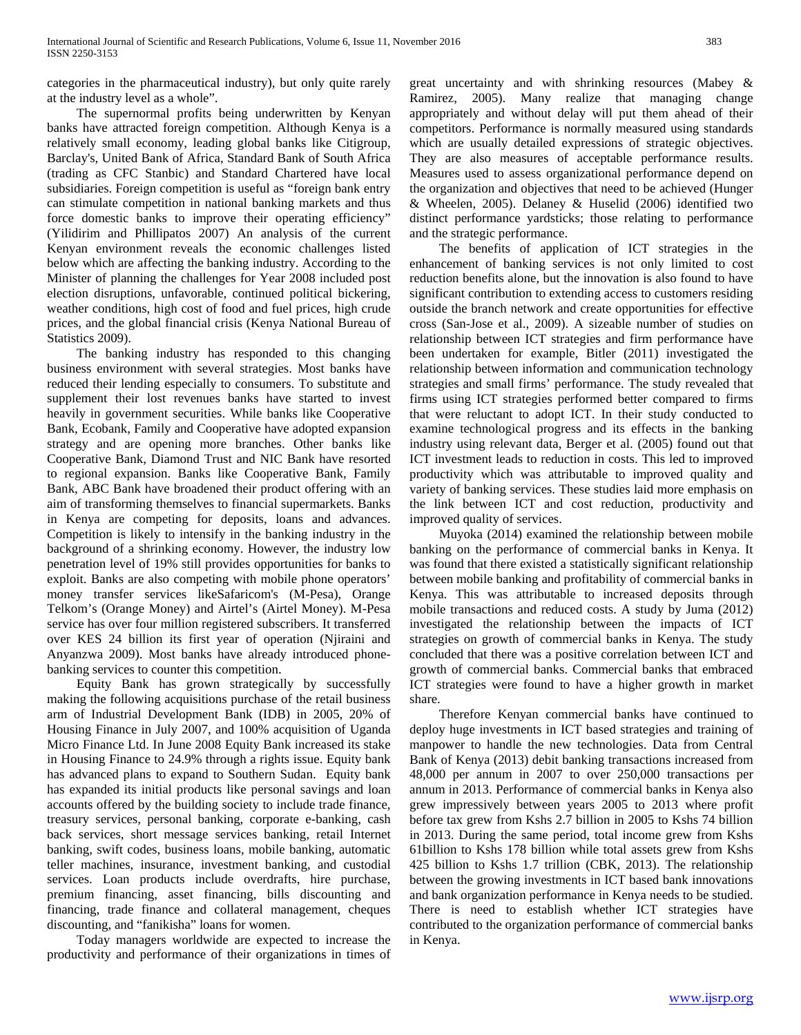categories in the pharmaceutical industry), but only quite rarely at the industry level as a whole".

 The supernormal profits being underwritten by Kenyan banks have attracted foreign competition. Although Kenya is a relatively small economy, leading global banks like Citigroup, Barclay's, United Bank of Africa, Standard Bank of South Africa (trading as CFC Stanbic) and Standard Chartered have local subsidiaries. Foreign competition is useful as "foreign bank entry can stimulate competition in national banking markets and thus force domestic banks to improve their operating efficiency" (Yilidirim and Phillipatos 2007) An analysis of the current Kenyan environment reveals the economic challenges listed below which are affecting the banking industry. According to the Minister of planning the challenges for Year 2008 included post election disruptions, unfavorable, continued political bickering, weather conditions, high cost of food and fuel prices, high crude prices, and the global financial crisis (Kenya National Bureau of Statistics 2009).

 The banking industry has responded to this changing business environment with several strategies. Most banks have reduced their lending especially to consumers. To substitute and supplement their lost revenues banks have started to invest heavily in government securities. While banks like Cooperative Bank, Ecobank, Family and Cooperative have adopted expansion strategy and are opening more branches. Other banks like Cooperative Bank, Diamond Trust and NIC Bank have resorted to regional expansion. Banks like Cooperative Bank, Family Bank, ABC Bank have broadened their product offering with an aim of transforming themselves to financial supermarkets. Banks in Kenya are competing for deposits, loans and advances. Competition is likely to intensify in the banking industry in the background of a shrinking economy. However, the industry low penetration level of 19% still provides opportunities for banks to exploit. Banks are also competing with mobile phone operators' money transfer services likeSafaricom's (M-Pesa), Orange Telkom's (Orange Money) and Airtel's (Airtel Money). M-Pesa service has over four million registered subscribers. It transferred over KES 24 billion its first year of operation (Njiraini and Anyanzwa 2009). Most banks have already introduced phonebanking services to counter this competition.

 Equity Bank has grown strategically by successfully making the following acquisitions purchase of the retail business arm of Industrial Development Bank (IDB) in 2005, 20% of Housing Finance in July 2007, and 100% acquisition of Uganda Micro Finance Ltd. In June 2008 Equity Bank increased its stake in Housing Finance to 24.9% through a rights issue. Equity bank has advanced plans to expand to Southern Sudan. Equity bank has expanded its initial products like personal savings and loan accounts offered by the building society to include trade finance, treasury services, personal banking, corporate e-banking, cash back services, short message services banking, retail Internet banking, swift codes, business loans, mobile banking, automatic teller machines, insurance, investment banking, and custodial services. Loan products include overdrafts, hire purchase, premium financing, asset financing, bills discounting and financing, trade finance and collateral management, cheques discounting, and "fanikisha" loans for women.

 Today managers worldwide are expected to increase the productivity and performance of their organizations in times of

great uncertainty and with shrinking resources (Mabey & Ramirez, 2005). Many realize that managing change appropriately and without delay will put them ahead of their competitors. Performance is normally measured using standards which are usually detailed expressions of strategic objectives. They are also measures of acceptable performance results. Measures used to assess organizational performance depend on the organization and objectives that need to be achieved (Hunger & Wheelen, 2005). Delaney & Huselid (2006) identified two distinct performance yardsticks; those relating to performance and the strategic performance.

 The benefits of application of ICT strategies in the enhancement of banking services is not only limited to cost reduction benefits alone, but the innovation is also found to have significant contribution to extending access to customers residing outside the branch network and create opportunities for effective cross (San-Jose et al., 2009). A sizeable number of studies on relationship between ICT strategies and firm performance have been undertaken for example, Bitler (2011) investigated the relationship between information and communication technology strategies and small firms' performance. The study revealed that firms using ICT strategies performed better compared to firms that were reluctant to adopt ICT. In their study conducted to examine technological progress and its effects in the banking industry using relevant data, Berger et al. (2005) found out that ICT investment leads to reduction in costs. This led to improved productivity which was attributable to improved quality and variety of banking services. These studies laid more emphasis on the link between ICT and cost reduction, productivity and improved quality of services.

 Muyoka (2014) examined the relationship between mobile banking on the performance of commercial banks in Kenya. It was found that there existed a statistically significant relationship between mobile banking and profitability of commercial banks in Kenya. This was attributable to increased deposits through mobile transactions and reduced costs. A study by Juma (2012) investigated the relationship between the impacts of ICT strategies on growth of commercial banks in Kenya. The study concluded that there was a positive correlation between ICT and growth of commercial banks. Commercial banks that embraced ICT strategies were found to have a higher growth in market share.

 Therefore Kenyan commercial banks have continued to deploy huge investments in ICT based strategies and training of manpower to handle the new technologies. Data from Central Bank of Kenya (2013) debit banking transactions increased from 48,000 per annum in 2007 to over 250,000 transactions per annum in 2013. Performance of commercial banks in Kenya also grew impressively between years 2005 to 2013 where profit before tax grew from Kshs 2.7 billion in 2005 to Kshs 74 billion in 2013. During the same period, total income grew from Kshs 61billion to Kshs 178 billion while total assets grew from Kshs 425 billion to Kshs 1.7 trillion (CBK, 2013). The relationship between the growing investments in ICT based bank innovations and bank organization performance in Kenya needs to be studied. There is need to establish whether ICT strategies have contributed to the organization performance of commercial banks in Kenya.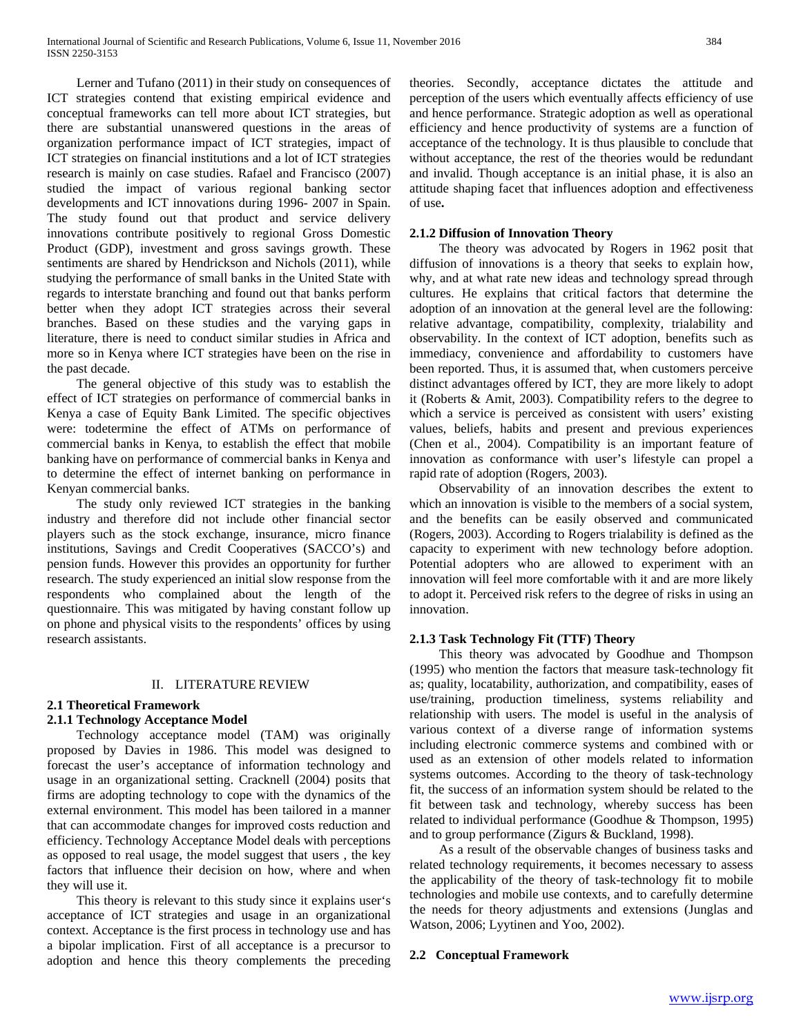Lerner and Tufano (2011) in their study on consequences of ICT strategies contend that existing empirical evidence and conceptual frameworks can tell more about ICT strategies, but there are substantial unanswered questions in the areas of organization performance impact of ICT strategies, impact of ICT strategies on financial institutions and a lot of ICT strategies research is mainly on case studies. Rafael and Francisco (2007) studied the impact of various regional banking sector developments and ICT innovations during 1996- 2007 in Spain. The study found out that product and service delivery innovations contribute positively to regional Gross Domestic Product (GDP), investment and gross savings growth. These sentiments are shared by Hendrickson and Nichols (2011), while studying the performance of small banks in the United State with regards to interstate branching and found out that banks perform better when they adopt ICT strategies across their several branches. Based on these studies and the varying gaps in literature, there is need to conduct similar studies in Africa and more so in Kenya where ICT strategies have been on the rise in the past decade.

 The general objective of this study was to establish the effect of ICT strategies on performance of commercial banks in Kenya a case of Equity Bank Limited. The specific objectives were: todetermine the effect of ATMs on performance of commercial banks in Kenya, to establish the effect that mobile banking have on performance of commercial banks in Kenya and to determine the effect of internet banking on performance in Kenyan commercial banks.

 The study only reviewed ICT strategies in the banking industry and therefore did not include other financial sector players such as the stock exchange, insurance, micro finance institutions, Savings and Credit Cooperatives (SACCO's) and pension funds. However this provides an opportunity for further research. The study experienced an initial slow response from the respondents who complained about the length of the questionnaire. This was mitigated by having constant follow up on phone and physical visits to the respondents' offices by using research assistants.

#### II. LITERATURE REVIEW

### **2.1 Theoretical Framework**

### **2.1.1 Technology Acceptance Model**

 Technology acceptance model (TAM) was originally proposed by Davies in 1986. This model was designed to forecast the user's acceptance of information technology and usage in an organizational setting. Cracknell (2004) posits that firms are adopting technology to cope with the dynamics of the external environment. This model has been tailored in a manner that can accommodate changes for improved costs reduction and efficiency. Technology Acceptance Model deals with perceptions as opposed to real usage, the model suggest that users , the key factors that influence their decision on how, where and when they will use it.

 This theory is relevant to this study since it explains user's acceptance of ICT strategies and usage in an organizational context. Acceptance is the first process in technology use and has a bipolar implication. First of all acceptance is a precursor to adoption and hence this theory complements the preceding

theories. Secondly, acceptance dictates the attitude and perception of the users which eventually affects efficiency of use and hence performance. Strategic adoption as well as operational efficiency and hence productivity of systems are a function of acceptance of the technology. It is thus plausible to conclude that without acceptance, the rest of the theories would be redundant and invalid. Though acceptance is an initial phase, it is also an attitude shaping facet that influences adoption and effectiveness of use**.**

#### **2.1.2 Diffusion of Innovation Theory**

 The theory was advocated by Rogers in 1962 posit that diffusion of innovations is a theory that seeks to explain how, why, and at what rate new ideas and technology spread through cultures. He explains that critical factors that determine the adoption of an innovation at the general level are the following: relative advantage, compatibility, complexity, trialability and observability. In the context of ICT adoption, benefits such as immediacy, convenience and affordability to customers have been reported. Thus, it is assumed that, when customers perceive distinct advantages offered by ICT, they are more likely to adopt it (Roberts & Amit, 2003). Compatibility refers to the degree to which a service is perceived as consistent with users' existing values, beliefs, habits and present and previous experiences (Chen et al., 2004). Compatibility is an important feature of innovation as conformance with user's lifestyle can propel a rapid rate of adoption (Rogers, 2003).

 Observability of an innovation describes the extent to which an innovation is visible to the members of a social system, and the benefits can be easily observed and communicated (Rogers, 2003). According to Rogers trialability is defined as the capacity to experiment with new technology before adoption. Potential adopters who are allowed to experiment with an innovation will feel more comfortable with it and are more likely to adopt it. Perceived risk refers to the degree of risks in using an innovation.

### **2.1.3 Task Technology Fit (TTF) Theory**

 This theory was advocated by Goodhue and Thompson (1995) who mention the factors that measure task-technology fit as; quality, locatability, authorization, and compatibility, eases of use/training, production timeliness, systems reliability and relationship with users. The model is useful in the analysis of various context of a diverse range of information systems including electronic commerce systems and combined with or used as an extension of other models related to information systems outcomes. According to the theory of task-technology fit, the success of an information system should be related to the fit between task and technology, whereby success has been related to individual performance (Goodhue & Thompson, 1995) and to group performance (Zigurs & Buckland, 1998).

 As a result of the observable changes of business tasks and related technology requirements, it becomes necessary to assess the applicability of the theory of task-technology fit to mobile technologies and mobile use contexts, and to carefully determine the needs for theory adjustments and extensions (Junglas and Watson, 2006; Lyytinen and Yoo, 2002).

#### **2.2 Conceptual Framework**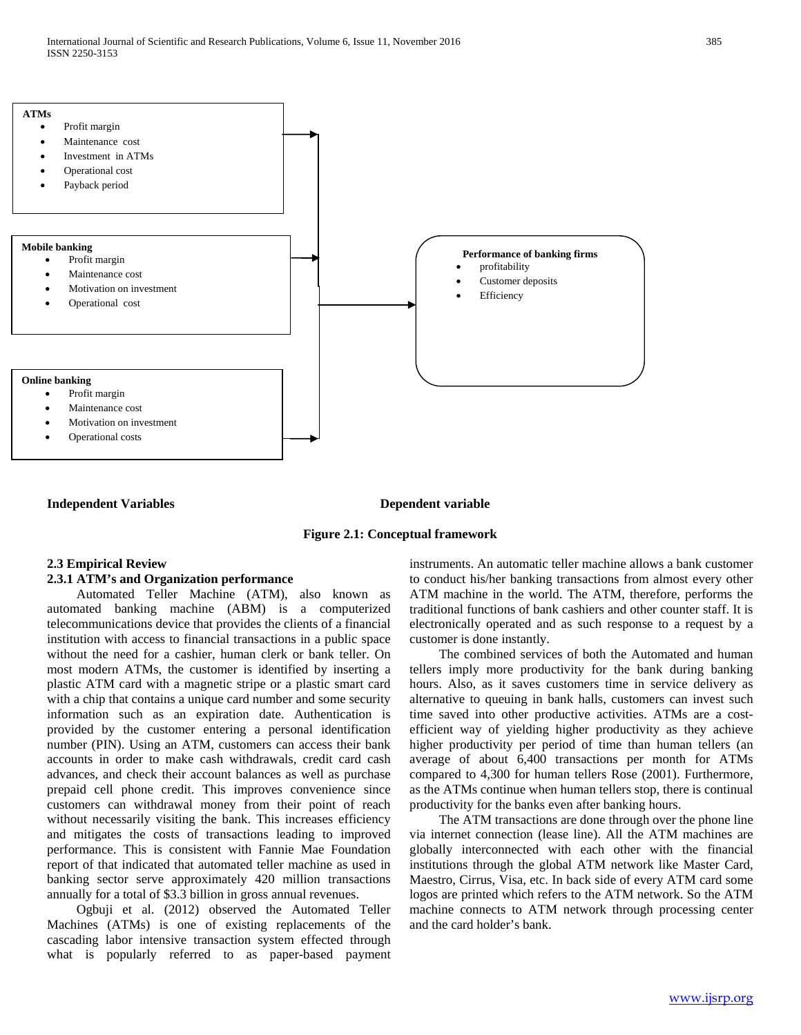

#### **Independent Variables Dependent Variables**

#### **Figure 2.1: Conceptual framework**

# **2.3 Empirical Review**

#### **2.3.1 ATM's and Organization performance**

 Automated Teller Machine (ATM), also known as automated banking machine (ABM) is a computerized telecommunications device that provides the clients of a financial institution with access to financial transactions in a public space without the need for a cashier, human clerk or bank teller. On most modern ATMs, the customer is identified by inserting a plastic ATM card with a magnetic stripe or a plastic smart card with a chip that contains a unique card number and some security information such as an expiration date. Authentication is provided by the customer entering a personal identification number (PIN). Using an ATM, customers can access their bank accounts in order to make cash withdrawals, credit card cash advances, and check their account balances as well as purchase prepaid cell phone credit. This improves convenience since customers can withdrawal money from their point of reach without necessarily visiting the bank. This increases efficiency and mitigates the costs of transactions leading to improved performance. This is consistent with Fannie Mae Foundation report of that indicated that automated teller machine as used in banking sector serve approximately 420 million transactions annually for a total of \$3.3 billion in gross annual revenues.

 Ogbuji et al. (2012) observed the Automated Teller Machines (ATMs) is one of existing replacements of the cascading labor intensive transaction system effected through what is popularly referred to as paper-based payment

instruments. An automatic teller machine allows a bank customer to conduct his/her banking transactions from almost every other ATM machine in the world. The ATM, therefore, performs the traditional functions of bank cashiers and other counter staff. It is electronically operated and as such response to a request by a customer is done instantly.

 The combined services of both the Automated and human tellers imply more productivity for the bank during banking hours. Also, as it saves customers time in service delivery as alternative to queuing in bank halls, customers can invest such time saved into other productive activities. ATMs are a costefficient way of yielding higher productivity as they achieve higher productivity per period of time than human tellers (an average of about 6,400 transactions per month for ATMs compared to 4,300 for human tellers Rose (2001). Furthermore, as the ATMs continue when human tellers stop, there is continual productivity for the banks even after banking hours.

 The ATM transactions are done through over the phone line via internet connection (lease line). All the ATM machines are globally interconnected with each other with the financial institutions through the global ATM network like Master Card, Maestro, Cirrus, Visa, etc. In back side of every ATM card some logos are printed which refers to the ATM network. So the ATM machine connects to ATM network through processing center and the card holder's bank.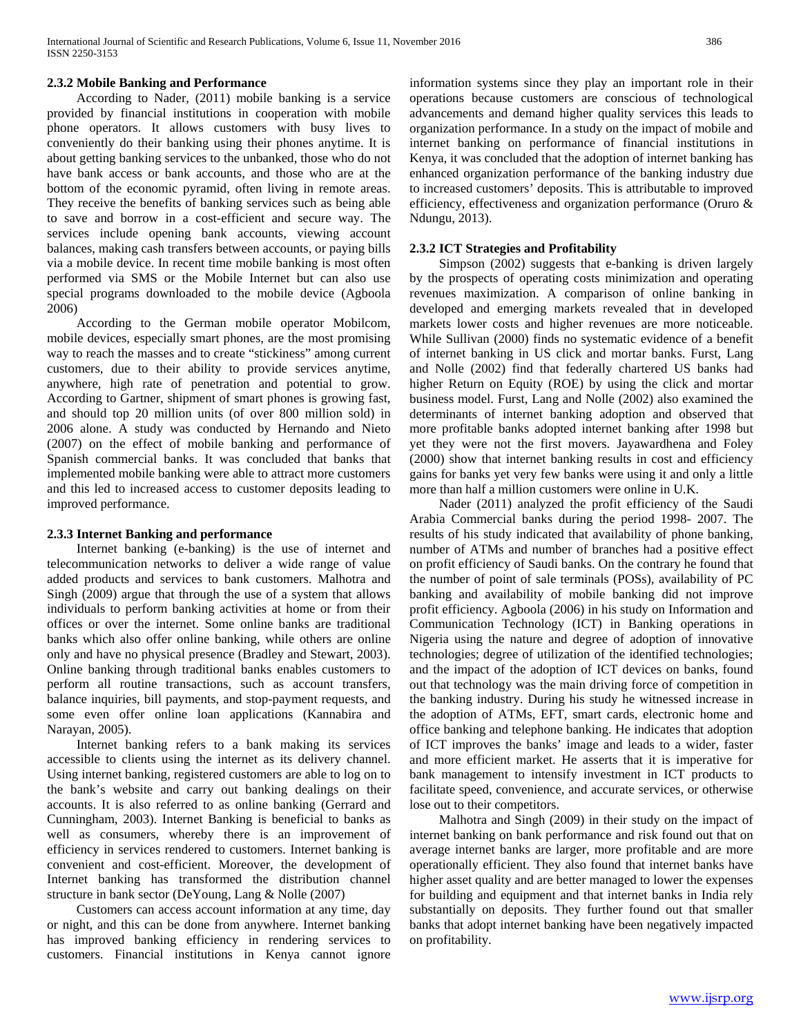# **2.3.2 Mobile Banking and Performance**

 According to Nader, (2011) mobile banking is a service provided by financial institutions in cooperation with mobile phone operators. It allows customers with busy lives to conveniently do their banking using their phones anytime. It is about getting banking services to the unbanked, those who do not have bank access or bank accounts, and those who are at the bottom of the economic pyramid, often living in remote areas. They receive the benefits of banking services such as being able to save and borrow in a cost-efficient and secure way. The services include opening bank accounts, viewing account balances, making cash transfers between accounts, or paying bills via a mobile device. In recent time mobile banking is most often performed via SMS or the Mobile Internet but can also use special programs downloaded to the mobile device (Agboola 2006)

 According to the German mobile operator Mobilcom, mobile devices, especially smart phones, are the most promising way to reach the masses and to create "stickiness" among current customers, due to their ability to provide services anytime, anywhere, high rate of penetration and potential to grow. According to Gartner, shipment of smart phones is growing fast, and should top 20 million units (of over 800 million sold) in 2006 alone. A study was conducted by Hernando and Nieto (2007) on the effect of mobile banking and performance of Spanish commercial banks. It was concluded that banks that implemented mobile banking were able to attract more customers and this led to increased access to customer deposits leading to improved performance.

#### **2.3.3 Internet Banking and performance**

 Internet banking (e-banking) is the use of internet and telecommunication networks to deliver a wide range of value added products and services to bank customers. Malhotra and Singh (2009) argue that through the use of a system that allows individuals to perform banking activities at home or from their offices or over the internet. Some online banks are traditional banks which also offer online banking, while others are online only and have no physical presence (Bradley and Stewart, 2003). Online banking through traditional banks enables customers to perform all routine transactions, such as account transfers, balance inquiries, bill payments, and stop-payment requests, and some even offer online loan applications (Kannabira and Narayan, 2005).

 Internet banking refers to a bank making its services accessible to clients using the internet as its delivery channel. Using internet banking, registered customers are able to log on to the bank's website and carry out banking dealings on their accounts. It is also referred to as online banking (Gerrard and Cunningham, 2003). Internet Banking is beneficial to banks as well as consumers, whereby there is an improvement of efficiency in services rendered to customers. Internet banking is convenient and cost-efficient. Moreover, the development of Internet banking has transformed the distribution channel structure in bank sector (DeYoung, Lang & Nolle (2007)

 Customers can access account information at any time, day or night, and this can be done from anywhere. Internet banking has improved banking efficiency in rendering services to customers. Financial institutions in Kenya cannot ignore

information systems since they play an important role in their operations because customers are conscious of technological advancements and demand higher quality services this leads to organization performance. In a study on the impact of mobile and internet banking on performance of financial institutions in Kenya, it was concluded that the adoption of internet banking has enhanced organization performance of the banking industry due to increased customers' deposits. This is attributable to improved efficiency, effectiveness and organization performance (Oruro & Ndungu, 2013).

#### **2.3.2 ICT Strategies and Profitability**

 Simpson (2002) suggests that e-banking is driven largely by the prospects of operating costs minimization and operating revenues maximization. A comparison of online banking in developed and emerging markets revealed that in developed markets lower costs and higher revenues are more noticeable. While Sullivan (2000) finds no systematic evidence of a benefit of internet banking in US click and mortar banks. Furst, Lang and Nolle (2002) find that federally chartered US banks had higher Return on Equity (ROE) by using the click and mortar business model. Furst, Lang and Nolle (2002) also examined the determinants of internet banking adoption and observed that more profitable banks adopted internet banking after 1998 but yet they were not the first movers. Jayawardhena and Foley (2000) show that internet banking results in cost and efficiency gains for banks yet very few banks were using it and only a little more than half a million customers were online in U.K.

 Nader (2011) analyzed the profit efficiency of the Saudi Arabia Commercial banks during the period 1998- 2007. The results of his study indicated that availability of phone banking, number of ATMs and number of branches had a positive effect on profit efficiency of Saudi banks. On the contrary he found that the number of point of sale terminals (POSs), availability of PC banking and availability of mobile banking did not improve profit efficiency. Agboola (2006) in his study on Information and Communication Technology (ICT) in Banking operations in Nigeria using the nature and degree of adoption of innovative technologies; degree of utilization of the identified technologies; and the impact of the adoption of ICT devices on banks, found out that technology was the main driving force of competition in the banking industry. During his study he witnessed increase in the adoption of ATMs, EFT, smart cards, electronic home and office banking and telephone banking. He indicates that adoption of ICT improves the banks' image and leads to a wider, faster and more efficient market. He asserts that it is imperative for bank management to intensify investment in ICT products to facilitate speed, convenience, and accurate services, or otherwise lose out to their competitors.

 Malhotra and Singh (2009) in their study on the impact of internet banking on bank performance and risk found out that on average internet banks are larger, more profitable and are more operationally efficient. They also found that internet banks have higher asset quality and are better managed to lower the expenses for building and equipment and that internet banks in India rely substantially on deposits. They further found out that smaller banks that adopt internet banking have been negatively impacted on profitability.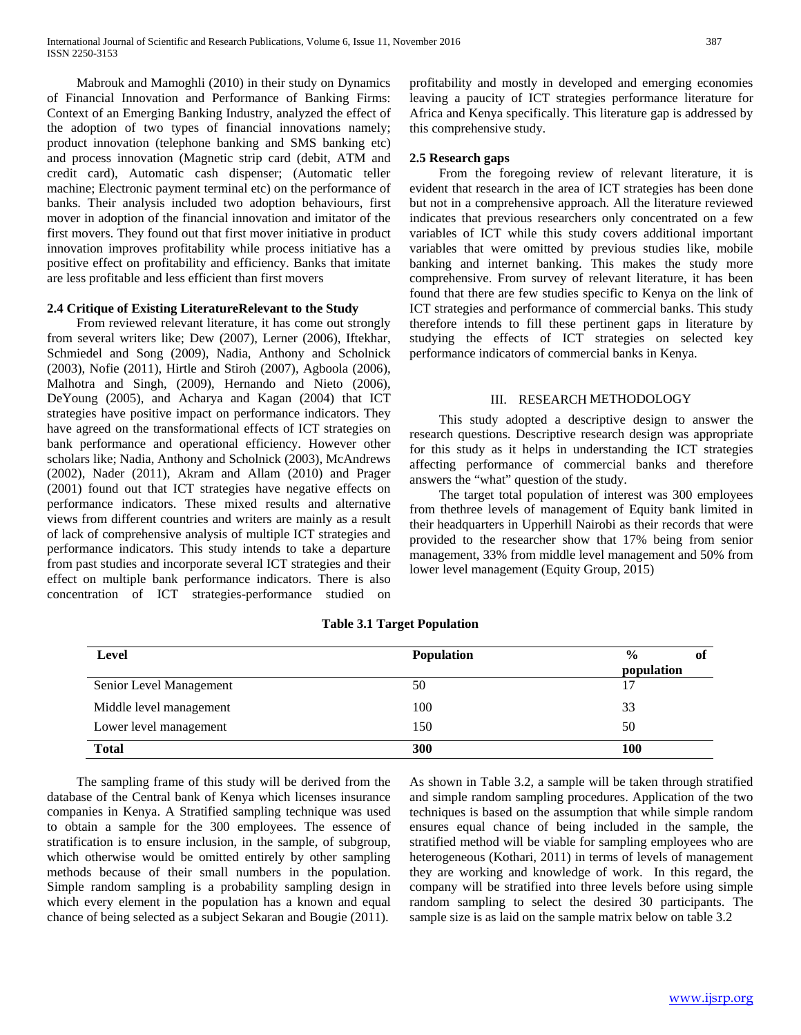Mabrouk and Mamoghli (2010) in their study on Dynamics of Financial Innovation and Performance of Banking Firms: Context of an Emerging Banking Industry, analyzed the effect of the adoption of two types of financial innovations namely; product innovation (telephone banking and SMS banking etc) and process innovation (Magnetic strip card (debit, ATM and credit card), Automatic cash dispenser; (Automatic teller machine; Electronic payment terminal etc) on the performance of banks. Their analysis included two adoption behaviours, first mover in adoption of the financial innovation and imitator of the first movers. They found out that first mover initiative in product innovation improves profitability while process initiative has a positive effect on profitability and efficiency. Banks that imitate are less profitable and less efficient than first movers

# **2.4 Critique of Existing LiteratureRelevant to the Study**

 From reviewed relevant literature, it has come out strongly from several writers like; Dew (2007), Lerner (2006), Iftekhar, Schmiedel and Song (2009), Nadia, Anthony and Scholnick (2003), Nofie (2011), Hirtle and Stiroh (2007), Agboola (2006), Malhotra and Singh, (2009), Hernando and Nieto (2006), DeYoung (2005), and Acharya and Kagan (2004) that ICT strategies have positive impact on performance indicators. They have agreed on the transformational effects of ICT strategies on bank performance and operational efficiency. However other scholars like; Nadia, Anthony and Scholnick (2003), McAndrews (2002), Nader (2011), Akram and Allam (2010) and Prager (2001) found out that ICT strategies have negative effects on performance indicators. These mixed results and alternative views from different countries and writers are mainly as a result of lack of comprehensive analysis of multiple ICT strategies and performance indicators. This study intends to take a departure from past studies and incorporate several ICT strategies and their effect on multiple bank performance indicators. There is also concentration of ICT strategies-performance studied on profitability and mostly in developed and emerging economies leaving a paucity of ICT strategies performance literature for Africa and Kenya specifically. This literature gap is addressed by this comprehensive study.

#### **2.5 Research gaps**

 From the foregoing review of relevant literature, it is evident that research in the area of ICT strategies has been done but not in a comprehensive approach. All the literature reviewed indicates that previous researchers only concentrated on a few variables of ICT while this study covers additional important variables that were omitted by previous studies like, mobile banking and internet banking. This makes the study more comprehensive. From survey of relevant literature, it has been found that there are few studies specific to Kenya on the link of ICT strategies and performance of commercial banks. This study therefore intends to fill these pertinent gaps in literature by studying the effects of ICT strategies on selected key performance indicators of commercial banks in Kenya.

#### III. RESEARCH METHODOLOGY

 This study adopted a descriptive design to answer the research questions. Descriptive research design was appropriate for this study as it helps in understanding the ICT strategies affecting performance of commercial banks and therefore answers the "what" question of the study.

 The target total population of interest was 300 employees from thethree levels of management of Equity bank limited in their headquarters in Upperhill Nairobi as their records that were provided to the researcher show that 17% being from senior management, 33% from middle level management and 50% from lower level management (Equity Group, 2015)

| Level                   | <b>Population</b> | $\frac{0}{0}$<br>Оl |
|-------------------------|-------------------|---------------------|
|                         |                   | population          |
| Senior Level Management | 50                | 17                  |
| Middle level management | 100               | 33                  |
| Lower level management  | 150               | 50                  |
| <b>Total</b>            | 300               | 100                 |

**Table 3.1 Target Population**

 The sampling frame of this study will be derived from the database of the Central bank of Kenya which licenses insurance companies in Kenya. A Stratified sampling technique was used to obtain a sample for the 300 employees. The essence of stratification is to ensure inclusion, in the sample, of subgroup, which otherwise would be omitted entirely by other sampling methods because of their small numbers in the population. Simple random sampling is a probability sampling design in which every element in the population has a known and equal chance of being selected as a subject Sekaran and Bougie (2011).

As shown in Table 3.2, a sample will be taken through stratified and simple random sampling procedures. Application of the two techniques is based on the assumption that while simple random ensures equal chance of being included in the sample, the stratified method will be viable for sampling employees who are heterogeneous (Kothari, 2011) in terms of levels of management they are working and knowledge of work. In this regard, the company will be stratified into three levels before using simple random sampling to select the desired 30 participants. The sample size is as laid on the sample matrix below on table 3.2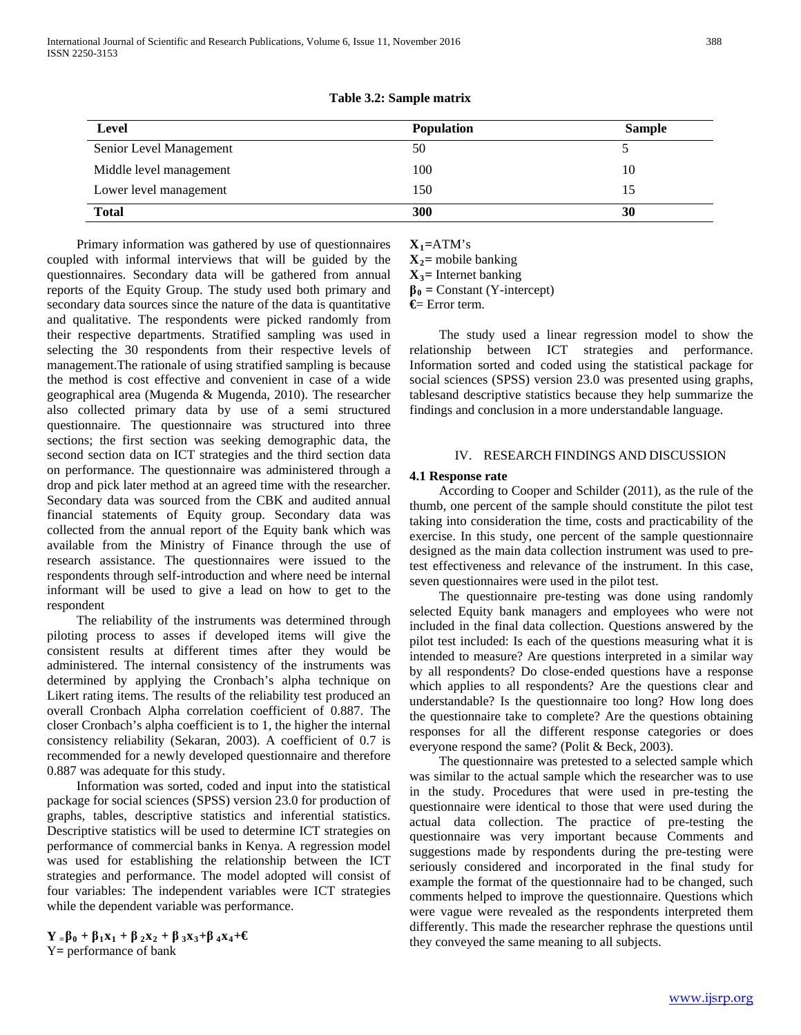| <b>Level</b>            | <b>Population</b> | <b>Sample</b> |
|-------------------------|-------------------|---------------|
| Senior Level Management | 50                |               |
| Middle level management | 100               | 10            |
| Lower level management  | 150               | 15            |
| <b>Total</b>            | 300               | 30            |

**Table 3.2: Sample matrix**

 Primary information was gathered by use of questionnaires coupled with informal interviews that will be guided by the questionnaires. Secondary data will be gathered from annual reports of the Equity Group. The study used both primary and secondary data sources since the nature of the data is quantitative and qualitative. The respondents were picked randomly from their respective departments. Stratified sampling was used in selecting the 30 respondents from their respective levels of management.The rationale of using stratified sampling is because the method is cost effective and convenient in case of a wide geographical area (Mugenda & Mugenda, 2010). The researcher also collected primary data by use of a semi structured questionnaire. The questionnaire was structured into three sections; the first section was seeking demographic data, the second section data on ICT strategies and the third section data on performance. The questionnaire was administered through a drop and pick later method at an agreed time with the researcher. Secondary data was sourced from the CBK and audited annual financial statements of Equity group. Secondary data was collected from the annual report of the Equity bank which was available from the Ministry of Finance through the use of research assistance. The questionnaires were issued to the respondents through self-introduction and where need be internal informant will be used to give a lead on how to get to the respondent

 The reliability of the instruments was determined through piloting process to asses if developed items will give the consistent results at different times after they would be administered. The internal consistency of the instruments was determined by applying the Cronbach's alpha technique on Likert rating items. The results of the reliability test produced an overall Cronbach Alpha correlation coefficient of 0.887. The closer Cronbach's alpha coefficient is to 1, the higher the internal consistency reliability (Sekaran, 2003). A coefficient of 0.7 is recommended for a newly developed questionnaire and therefore 0.887 was adequate for this study.

 Information was sorted, coded and input into the statistical package for social sciences (SPSS) version 23.0 for production of graphs, tables, descriptive statistics and inferential statistics. Descriptive statistics will be used to determine ICT strategies on performance of commercial banks in Kenya. A regression model was used for establishing the relationship between the ICT strategies and performance. The model adopted will consist of four variables: The independent variables were ICT strategies while the dependent variable was performance.

**Y <sup>=</sup>β<sup>0</sup> + β1x1 + β 2x2 + β 3x3+β 4x4+€** Y**=** performance of bank

 $X_1$ =ATM's

 $X_2$ = mobile banking

**X3=** Internet banking

 $\beta_0$  = Constant (Y-intercept)

**€**= Error term.

 The study used a linear regression model to show the relationship between ICT strategies and performance. Information sorted and coded using the statistical package for social sciences (SPSS) version 23.0 was presented using graphs, tablesand descriptive statistics because they help summarize the findings and conclusion in a more understandable language.

#### IV. RESEARCH FINDINGS AND DISCUSSION

# **4.1 Response rate**

 According to Cooper and Schilder (2011), as the rule of the thumb, one percent of the sample should constitute the pilot test taking into consideration the time, costs and practicability of the exercise. In this study, one percent of the sample questionnaire designed as the main data collection instrument was used to pretest effectiveness and relevance of the instrument. In this case, seven questionnaires were used in the pilot test.

 The questionnaire pre-testing was done using randomly selected Equity bank managers and employees who were not included in the final data collection. Questions answered by the pilot test included: Is each of the questions measuring what it is intended to measure? Are questions interpreted in a similar way by all respondents? Do close-ended questions have a response which applies to all respondents? Are the questions clear and understandable? Is the questionnaire too long? How long does the questionnaire take to complete? Are the questions obtaining responses for all the different response categories or does everyone respond the same? (Polit & Beck, 2003).

 The questionnaire was pretested to a selected sample which was similar to the actual sample which the researcher was to use in the study. Procedures that were used in pre-testing the questionnaire were identical to those that were used during the actual data collection. The practice of pre-testing the questionnaire was very important because Comments and suggestions made by respondents during the pre-testing were seriously considered and incorporated in the final study for example the format of the questionnaire had to be changed, such comments helped to improve the questionnaire. Questions which were vague were revealed as the respondents interpreted them differently. This made the researcher rephrase the questions until they conveyed the same meaning to all subjects.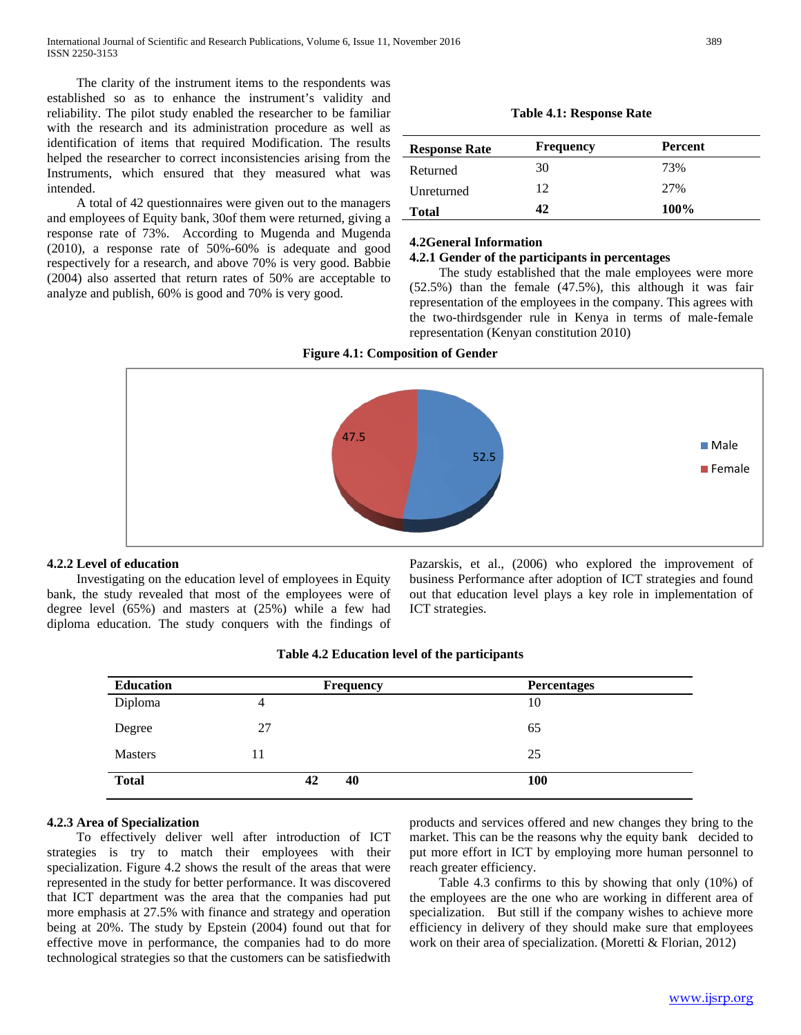The clarity of the instrument items to the respondents was established so as to enhance the instrument's validity and reliability. The pilot study enabled the researcher to be familiar with the research and its administration procedure as well as identification of items that required Modification. The results helped the researcher to correct inconsistencies arising from the Instruments, which ensured that they measured what was intended.

 A total of 42 questionnaires were given out to the managers and employees of Equity bank, 30of them were returned, giving a response rate of 73%. According to Mugenda and Mugenda (2010), a response rate of 50%-60% is adequate and good respectively for a research, and above 70% is very good. Babbie (2004) also asserted that return rates of 50% are acceptable to analyze and publish, 60% is good and 70% is very good.

**Table 4.1: Response Rate**

| <b>Response Rate</b> | <b>Frequency</b> | <b>Percent</b> |  |
|----------------------|------------------|----------------|--|
| Returned             | 30               | 73%            |  |
| Unreturned           | 12               | 27%            |  |
| <b>Total</b>         | 42               | 100%           |  |

#### **4.2General Information**

# **4.2.1 Gender of the participants in percentages**

 The study established that the male employees were more (52.5%) than the female (47.5%), this although it was fair representation of the employees in the company. This agrees with the two-thirdsgender rule in Kenya in terms of male-female representation (Kenyan constitution 2010)

**Figure 4.1: Composition of Gender**



# **4.2.2 Level of education**

 Investigating on the education level of employees in Equity bank, the study revealed that most of the employees were of degree level (65%) and masters at (25%) while a few had diploma education. The study conquers with the findings of

Pazarskis, et al., (2006) who explored the improvement of business Performance after adoption of ICT strategies and found out that education level plays a key role in implementation of ICT strategies.

| <b>Education</b> | <b>Frequency</b> | <b>Percentages</b> |
|------------------|------------------|--------------------|
| Diploma          | 4                | 10                 |
| Degree           | 27               | 65                 |
| <b>Masters</b>   | 11               | 25                 |
| <b>Total</b>     | 40<br>42         | <b>100</b>         |

#### **Table 4.2 Education level of the participants**

# **4.2.3 Area of Specialization**

 To effectively deliver well after introduction of ICT strategies is try to match their employees with their specialization. Figure 4.2 shows the result of the areas that were represented in the study for better performance. It was discovered that ICT department was the area that the companies had put more emphasis at 27.5% with finance and strategy and operation being at 20%. The study by Epstein (2004) found out that for effective move in performance, the companies had to do more technological strategies so that the customers can be satisfiedwith

products and services offered and new changes they bring to the market. This can be the reasons why the equity bank decided to put more effort in ICT by employing more human personnel to reach greater efficiency.

 Table 4.3 confirms to this by showing that only (10%) of the employees are the one who are working in different area of specialization. But still if the company wishes to achieve more efficiency in delivery of they should make sure that employees work on their area of specialization. (Moretti & Florian, 2012)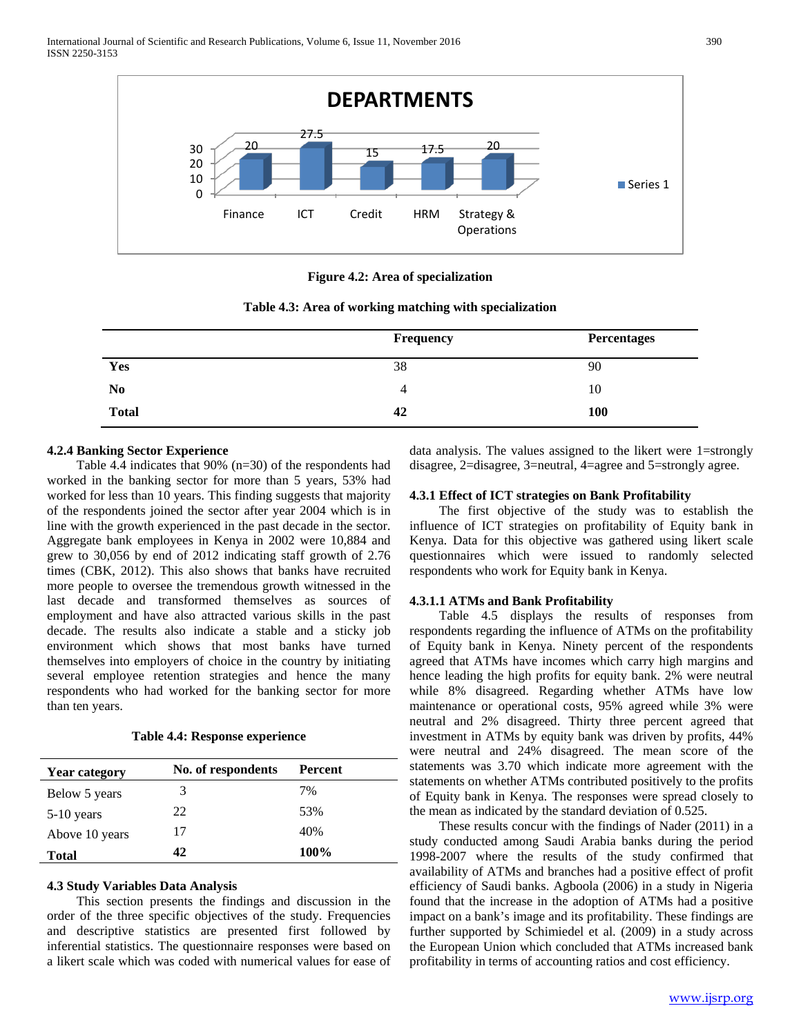

**Figure 4.2: Area of specialization**

| Table 4.3: Area of working matching with specialization |  |  |
|---------------------------------------------------------|--|--|
|---------------------------------------------------------|--|--|

|                | <b>Frequency</b> | <b>Percentages</b> |
|----------------|------------------|--------------------|
| Yes            | 38               | 90                 |
| N <sub>0</sub> | 4                | 10                 |
| <b>Total</b>   | 42               | <b>100</b>         |

#### **4.2.4 Banking Sector Experience**

 Table 4.4 indicates that 90% (n=30) of the respondents had worked in the banking sector for more than 5 years, 53% had worked for less than 10 years. This finding suggests that majority of the respondents joined the sector after year 2004 which is in line with the growth experienced in the past decade in the sector. Aggregate bank employees in Kenya in 2002 were 10,884 and grew to 30,056 by end of 2012 indicating staff growth of 2.76 times (CBK, 2012). This also shows that banks have recruited more people to oversee the tremendous growth witnessed in the last decade and transformed themselves as sources of employment and have also attracted various skills in the past decade. The results also indicate a stable and a sticky job environment which shows that most banks have turned themselves into employers of choice in the country by initiating several employee retention strategies and hence the many respondents who had worked for the banking sector for more than ten years.

**Table 4.4: Response experience**

| <b>Year category</b> | No. of respondents | Percent |
|----------------------|--------------------|---------|
| Below 5 years        | 3                  | 7%      |
| $5-10$ years         | 22                 | 53%     |
| Above 10 years       | 17                 | 40%     |
| <b>Total</b>         | 42.                | 100%    |

#### **4.3 Study Variables Data Analysis**

 This section presents the findings and discussion in the order of the three specific objectives of the study. Frequencies and descriptive statistics are presented first followed by inferential statistics. The questionnaire responses were based on a likert scale which was coded with numerical values for ease of

data analysis. The values assigned to the likert were 1=strongly disagree, 2=disagree, 3=neutral, 4=agree and 5=strongly agree.

#### **4.3.1 Effect of ICT strategies on Bank Profitability**

 The first objective of the study was to establish the influence of ICT strategies on profitability of Equity bank in Kenya. Data for this objective was gathered using likert scale questionnaires which were issued to randomly selected respondents who work for Equity bank in Kenya.

#### **4.3.1.1 ATMs and Bank Profitability**

 Table 4.5 displays the results of responses from respondents regarding the influence of ATMs on the profitability of Equity bank in Kenya. Ninety percent of the respondents agreed that ATMs have incomes which carry high margins and hence leading the high profits for equity bank. 2% were neutral while 8% disagreed. Regarding whether ATMs have low maintenance or operational costs, 95% agreed while 3% were neutral and 2% disagreed. Thirty three percent agreed that investment in ATMs by equity bank was driven by profits, 44% were neutral and 24% disagreed. The mean score of the statements was 3.70 which indicate more agreement with the statements on whether ATMs contributed positively to the profits of Equity bank in Kenya. The responses were spread closely to the mean as indicated by the standard deviation of 0.525.

 These results concur with the findings of Nader (2011) in a study conducted among Saudi Arabia banks during the period 1998-2007 where the results of the study confirmed that availability of ATMs and branches had a positive effect of profit efficiency of Saudi banks. Agboola (2006) in a study in Nigeria found that the increase in the adoption of ATMs had a positive impact on a bank's image and its profitability. These findings are further supported by Schimiedel et al. (2009) in a study across the European Union which concluded that ATMs increased bank profitability in terms of accounting ratios and cost efficiency.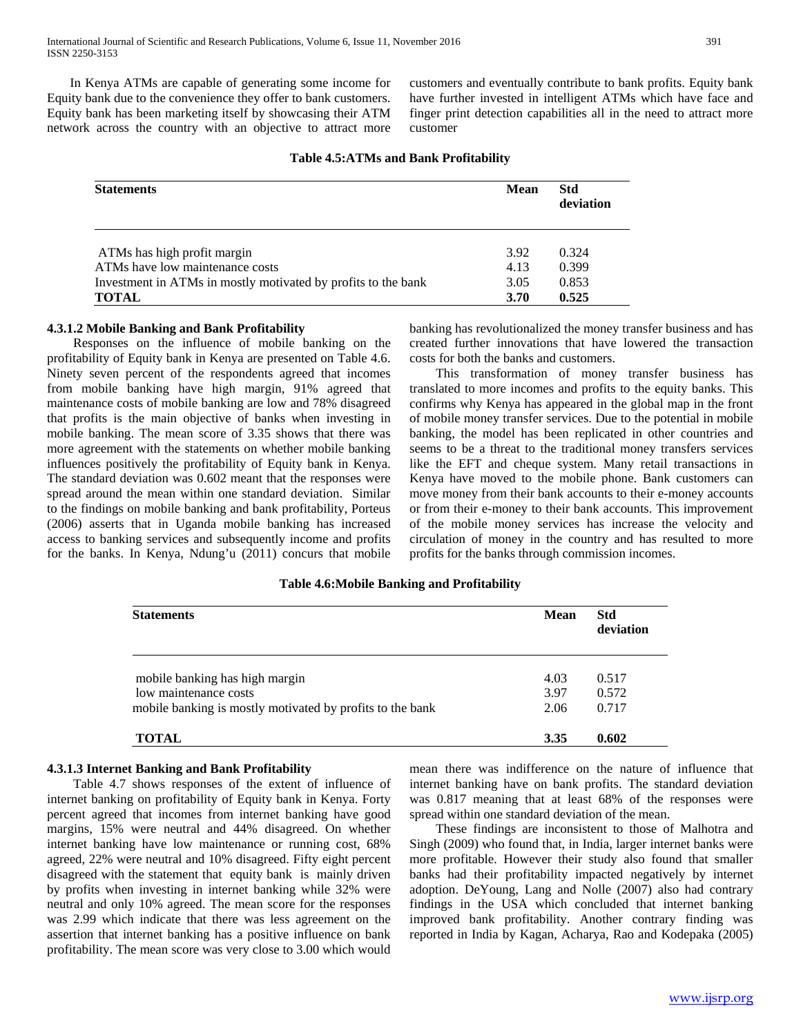In Kenya ATMs are capable of generating some income for Equity bank due to the convenience they offer to bank customers. Equity bank has been marketing itself by showcasing their ATM network across the country with an objective to attract more

customers and eventually contribute to bank profits. Equity bank have further invested in intelligent ATMs which have face and finger print detection capabilities all in the need to attract more customer

### **Table 4.5:ATMs and Bank Profitability**

| <b>Statements</b>                                             | Mean | <b>Std</b><br>deviation |
|---------------------------------------------------------------|------|-------------------------|
| ATMs has high profit margin                                   | 3.92 | 0.324                   |
| ATMs have low maintenance costs                               | 4.13 | 0.399                   |
| Investment in ATMs in mostly motivated by profits to the bank | 3.05 | 0.853                   |
| <b>TOTAL</b>                                                  | 3.70 | 0.525                   |

#### **4.3.1.2 Mobile Banking and Bank Profitability**

 Responses on the influence of mobile banking on the profitability of Equity bank in Kenya are presented on Table 4.6. Ninety seven percent of the respondents agreed that incomes from mobile banking have high margin, 91% agreed that maintenance costs of mobile banking are low and 78% disagreed that profits is the main objective of banks when investing in mobile banking. The mean score of 3.35 shows that there was more agreement with the statements on whether mobile banking influences positively the profitability of Equity bank in Kenya. The standard deviation was 0.602 meant that the responses were spread around the mean within one standard deviation. Similar to the findings on mobile banking and bank profitability, Porteus (2006) asserts that in Uganda mobile banking has increased access to banking services and subsequently income and profits for the banks. In Kenya, Ndung'u (2011) concurs that mobile

banking has revolutionalized the money transfer business and has created further innovations that have lowered the transaction costs for both the banks and customers.

 This transformation of money transfer business has translated to more incomes and profits to the equity banks. This confirms why Kenya has appeared in the global map in the front of mobile money transfer services. Due to the potential in mobile banking, the model has been replicated in other countries and seems to be a threat to the traditional money transfers services like the EFT and cheque system. Many retail transactions in Kenya have moved to the mobile phone. Bank customers can move money from their bank accounts to their e-money accounts or from their e-money to their bank accounts. This improvement of the mobile money services has increase the velocity and circulation of money in the country and has resulted to more profits for the banks through commission incomes.

# **Table 4.6:Mobile Banking and Profitability**

| <b>Statements</b>                                                                  | <b>Mean</b>  | <b>Std</b><br>deviation |
|------------------------------------------------------------------------------------|--------------|-------------------------|
| mobile banking has high margin                                                     | 4.03         | 0.517                   |
| low maintenance costs<br>mobile banking is mostly motivated by profits to the bank | 3.97<br>2.06 | 0.572<br>0.717          |
| TOTAL                                                                              | 3.35         | 0.602                   |

# **4.3.1.3 Internet Banking and Bank Profitability**

 Table 4.7 shows responses of the extent of influence of internet banking on profitability of Equity bank in Kenya. Forty percent agreed that incomes from internet banking have good margins, 15% were neutral and 44% disagreed. On whether internet banking have low maintenance or running cost, 68% agreed, 22% were neutral and 10% disagreed. Fifty eight percent disagreed with the statement that equity bank is mainly driven by profits when investing in internet banking while 32% were neutral and only 10% agreed. The mean score for the responses was 2.99 which indicate that there was less agreement on the assertion that internet banking has a positive influence on bank profitability. The mean score was very close to 3.00 which would

mean there was indifference on the nature of influence that internet banking have on bank profits. The standard deviation was 0.817 meaning that at least 68% of the responses were spread within one standard deviation of the mean.

 These findings are inconsistent to those of Malhotra and Singh (2009) who found that, in India, larger internet banks were more profitable. However their study also found that smaller banks had their profitability impacted negatively by internet adoption. DeYoung, Lang and Nolle (2007) also had contrary findings in the USA which concluded that internet banking improved bank profitability. Another contrary finding was reported in India by Kagan, Acharya, Rao and Kodepaka (2005)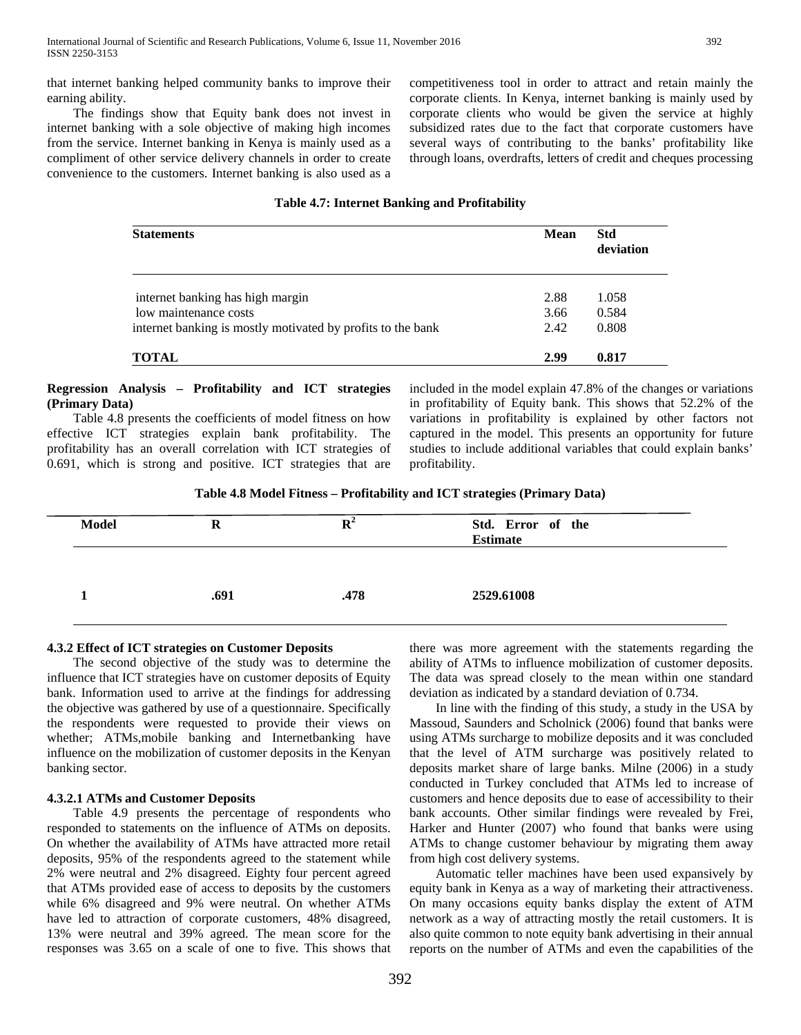that internet banking helped community banks to improve their earning ability.

 The findings show that Equity bank does not invest in internet banking with a sole objective of making high incomes from the service. Internet banking in Kenya is mainly used as a compliment of other service delivery channels in order to create convenience to the customers. Internet banking is also used as a competitiveness tool in order to attract and retain mainly the corporate clients. In Kenya, internet banking is mainly used by corporate clients who would be given the service at highly subsidized rates due to the fact that corporate customers have several ways of contributing to the banks' profitability like through loans, overdrafts, letters of credit and cheques processing

# **Table 4.7: Internet Banking and Profitability**

| <b>Statements</b>                                           | <b>Mean</b> | Std<br>deviation |
|-------------------------------------------------------------|-------------|------------------|
| internet banking has high margin                            | 2.88        | 1.058            |
| low maintenance costs                                       | 3.66        | 0.584            |
| internet banking is mostly motivated by profits to the bank | 2.42        | 0.808            |
| TOTAL                                                       | 2.99        | 0.817            |

#### **Regression Analysis – Profitability and ICT strategies (Primary Data)**

 Table 4.8 presents the coefficients of model fitness on how effective ICT strategies explain bank profitability. The profitability has an overall correlation with ICT strategies of 0.691, which is strong and positive. ICT strategies that are included in the model explain 47.8% of the changes or variations in profitability of Equity bank. This shows that 52.2% of the variations in profitability is explained by other factors not captured in the model. This presents an opportunity for future studies to include additional variables that could explain banks' profitability.

**Table 4.8 Model Fitness – Profitability and ICT strategies (Primary Data)**

| <b>Model</b> | R    | $\mathbf{R}^2$ | Std. Error of the<br><b>Estimate</b> |
|--------------|------|----------------|--------------------------------------|
|              |      |                |                                      |
|              | .691 | .478           | 2529.61008                           |

# **4.3.2 Effect of ICT strategies on Customer Deposits**

 The second objective of the study was to determine the influence that ICT strategies have on customer deposits of Equity bank. Information used to arrive at the findings for addressing the objective was gathered by use of a questionnaire. Specifically the respondents were requested to provide their views on whether; ATMs,mobile banking and Internetbanking have influence on the mobilization of customer deposits in the Kenyan banking sector.

# **4.3.2.1 ATMs and Customer Deposits**

 Table 4.9 presents the percentage of respondents who responded to statements on the influence of ATMs on deposits. On whether the availability of ATMs have attracted more retail deposits, 95% of the respondents agreed to the statement while 2% were neutral and 2% disagreed. Eighty four percent agreed that ATMs provided ease of access to deposits by the customers while 6% disagreed and 9% were neutral. On whether ATMs have led to attraction of corporate customers, 48% disagreed, 13% were neutral and 39% agreed. The mean score for the responses was 3.65 on a scale of one to five. This shows that there was more agreement with the statements regarding the ability of ATMs to influence mobilization of customer deposits. The data was spread closely to the mean within one standard deviation as indicated by a standard deviation of 0.734.

 In line with the finding of this study, a study in the USA by Massoud, Saunders and Scholnick (2006) found that banks were using ATMs surcharge to mobilize deposits and it was concluded that the level of ATM surcharge was positively related to deposits market share of large banks. Milne (2006) in a study conducted in Turkey concluded that ATMs led to increase of customers and hence deposits due to ease of accessibility to their bank accounts. Other similar findings were revealed by Frei, Harker and Hunter (2007) who found that banks were using ATMs to change customer behaviour by migrating them away from high cost delivery systems.

 Automatic teller machines have been used expansively by equity bank in Kenya as a way of marketing their attractiveness. On many occasions equity banks display the extent of ATM network as a way of attracting mostly the retail customers. It is also quite common to note equity bank advertising in their annual reports on the number of ATMs and even the capabilities of the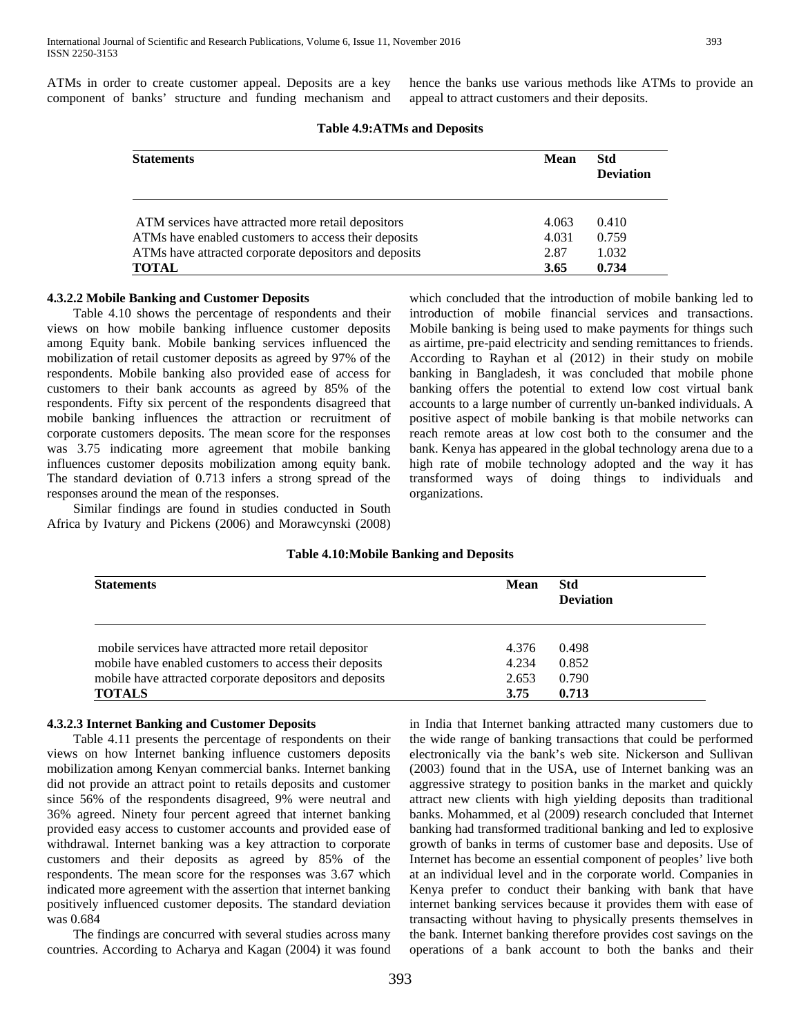ATMs in order to create customer appeal. Deposits are a key component of banks' structure and funding mechanism and hence the banks use various methods like ATMs to provide an appeal to attract customers and their deposits.

| <b>Statements</b>                                     | <b>Mean</b> | <b>Std</b>       |
|-------------------------------------------------------|-------------|------------------|
|                                                       |             | <b>Deviation</b> |
| ATM services have attracted more retail depositors    | 4.063       | 0.410            |
| ATMs have enabled customers to access their deposits  | 4.031       | 0.759            |
| ATMs have attracted corporate depositors and deposits | 2.87        | 1.032            |
| <b>TOTAL</b>                                          | 3.65        | 0.734            |

# **Table 4.9:ATMs and Deposits**

# **4.3.2.2 Mobile Banking and Customer Deposits**

 Table 4.10 shows the percentage of respondents and their views on how mobile banking influence customer deposits among Equity bank. Mobile banking services influenced the mobilization of retail customer deposits as agreed by 97% of the respondents. Mobile banking also provided ease of access for customers to their bank accounts as agreed by 85% of the respondents. Fifty six percent of the respondents disagreed that mobile banking influences the attraction or recruitment of corporate customers deposits. The mean score for the responses was 3.75 indicating more agreement that mobile banking influences customer deposits mobilization among equity bank. The standard deviation of 0.713 infers a strong spread of the responses around the mean of the responses.

 Similar findings are found in studies conducted in South Africa by Ivatury and Pickens (2006) and Morawcynski (2008) which concluded that the introduction of mobile banking led to introduction of mobile financial services and transactions. Mobile banking is being used to make payments for things such as airtime, pre-paid electricity and sending remittances to friends. According to Rayhan et al (2012) in their study on mobile banking in Bangladesh, it was concluded that mobile phone banking offers the potential to extend low cost virtual bank accounts to a large number of currently un-banked individuals. A positive aspect of mobile banking is that mobile networks can reach remote areas at low cost both to the consumer and the bank. Kenya has appeared in the global technology arena due to a high rate of mobile technology adopted and the way it has transformed ways of doing things to individuals and organizations.

#### **Table 4.10:Mobile Banking and Deposits**

| <b>Statements</b>                                       | <b>Mean</b> | <b>Std</b><br><b>Deviation</b> |  |
|---------------------------------------------------------|-------------|--------------------------------|--|
| mobile services have attracted more retail depositor    | 4.376       | 0.498                          |  |
| mobile have enabled customers to access their deposits  | 4.234       | 0.852                          |  |
| mobile have attracted corporate depositors and deposits | 2.653       | 0.790                          |  |
| <b>TOTALS</b>                                           | 3.75        | 0.713                          |  |

### **4.3.2.3 Internet Banking and Customer Deposits**

 Table 4.11 presents the percentage of respondents on their views on how Internet banking influence customers deposits mobilization among Kenyan commercial banks. Internet banking did not provide an attract point to retails deposits and customer since 56% of the respondents disagreed, 9% were neutral and 36% agreed. Ninety four percent agreed that internet banking provided easy access to customer accounts and provided ease of withdrawal. Internet banking was a key attraction to corporate customers and their deposits as agreed by 85% of the respondents. The mean score for the responses was 3.67 which indicated more agreement with the assertion that internet banking positively influenced customer deposits. The standard deviation was 0.684

 The findings are concurred with several studies across many countries. According to Acharya and Kagan (2004) it was found in India that Internet banking attracted many customers due to the wide range of banking transactions that could be performed electronically via the bank's web site. Nickerson and Sullivan (2003) found that in the USA, use of Internet banking was an aggressive strategy to position banks in the market and quickly attract new clients with high yielding deposits than traditional banks. Mohammed, et al (2009) research concluded that Internet banking had transformed traditional banking and led to explosive growth of banks in terms of customer base and deposits. Use of Internet has become an essential component of peoples' live both at an individual level and in the corporate world. Companies in Kenya prefer to conduct their banking with bank that have internet banking services because it provides them with ease of transacting without having to physically presents themselves in the bank. Internet banking therefore provides cost savings on the operations of a bank account to both the banks and their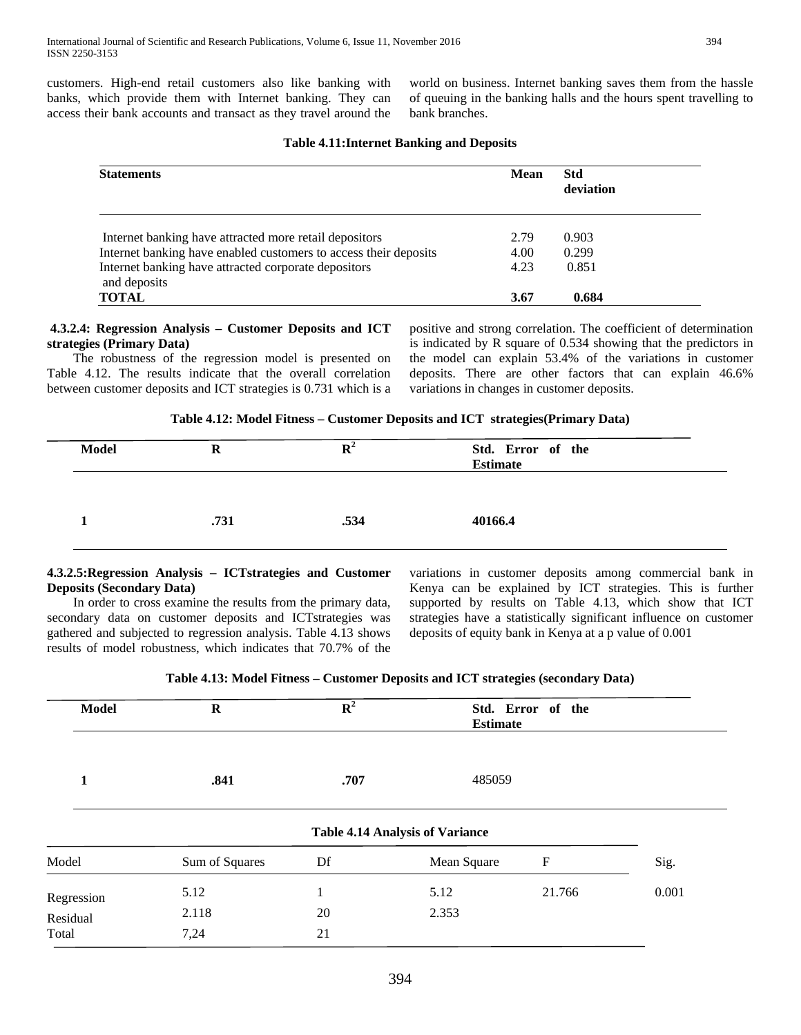customers. High-end retail customers also like banking with banks, which provide them with Internet banking. They can access their bank accounts and transact as they travel around the

world on business. Internet banking saves them from the hassle of queuing in the banking halls and the hours spent travelling to bank branches.

| <b>Mean</b> | <b>Std</b><br>deviation |  |
|-------------|-------------------------|--|
|             |                         |  |
| 2.79        | 0.903                   |  |
| 4.00        | 0.299                   |  |
| 4.23        | 0.851                   |  |
| 3.67        | 0.684                   |  |
|             |                         |  |

# **Table 4.11:Internet Banking and Deposits**

# **4.3.2.4: Regression Analysis – Customer Deposits and ICT strategies (Primary Data)**

 The robustness of the regression model is presented on Table 4.12. The results indicate that the overall correlation between customer deposits and ICT strategies is 0.731 which is a positive and strong correlation. The coefficient of determination is indicated by R square of 0.534 showing that the predictors in the model can explain 53.4% of the variations in customer deposits. There are other factors that can explain 46.6% variations in changes in customer deposits.

**Table 4.12: Model Fitness – Customer Deposits and ICT strategies(Primary Data)**

| <b>Model</b> | R    |      | Std. Error of the<br><b>Estimate</b> |
|--------------|------|------|--------------------------------------|
|              | .731 | .534 | 40166.4                              |

# **4.3.2.5:Regression Analysis – ICTstrategies and Customer Deposits (Secondary Data)**

 In order to cross examine the results from the primary data, secondary data on customer deposits and ICTstrategies was gathered and subjected to regression analysis. Table 4.13 shows results of model robustness, which indicates that 70.7% of the

variations in customer deposits among commercial bank in Kenya can be explained by ICT strategies. This is further supported by results on Table 4.13, which show that ICT strategies have a statistically significant influence on customer deposits of equity bank in Kenya at a p value of 0.001

| Table 4.13: Model Fitness – Customer Deposits and ICT strategies (secondary Data) |  |
|-----------------------------------------------------------------------------------|--|
|                                                                                   |  |

| <b>Model</b>                    | $\bf R$               | ${\bf R}^2$ | <b>Estimate</b>                        | Std. Error of the |       |
|---------------------------------|-----------------------|-------------|----------------------------------------|-------------------|-------|
| 1                               | .841                  | .707        | 485059                                 |                   |       |
|                                 |                       |             | <b>Table 4.14 Analysis of Variance</b> |                   |       |
| Model                           | Sum of Squares        | Df          | Mean Square                            | F                 | Sig.  |
| Regression<br>Residual<br>Total | 5.12<br>2.118<br>7,24 | 20<br>21    | 5.12<br>2.353                          | 21.766            | 0.001 |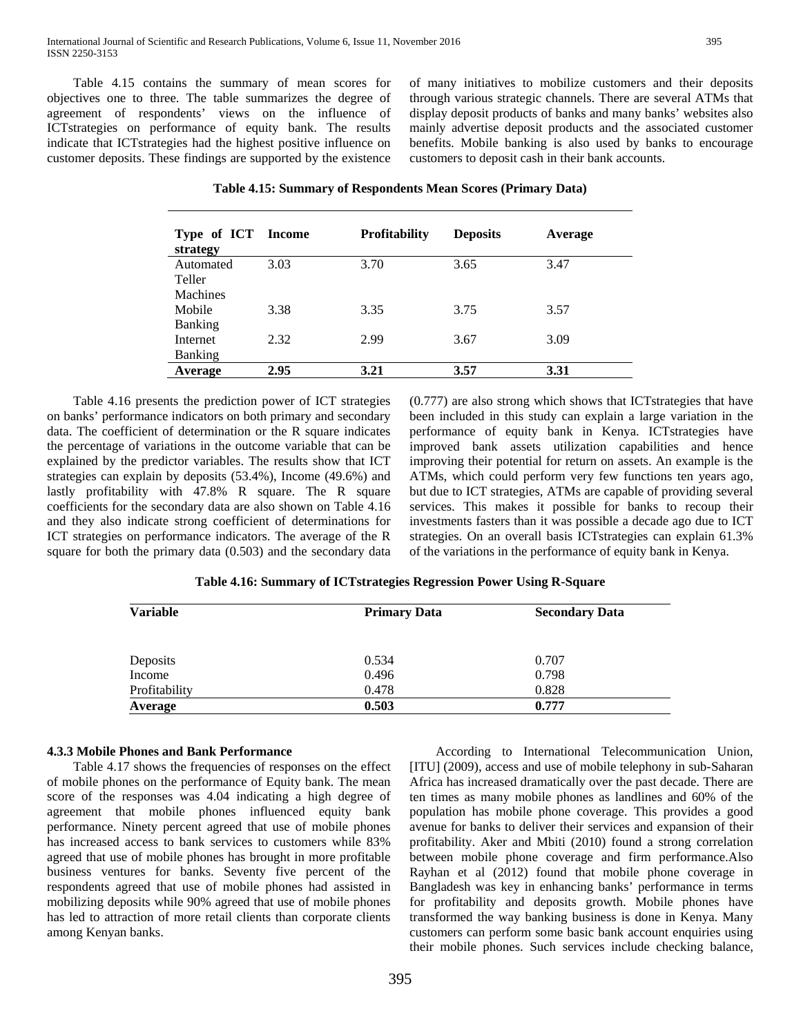Table 4.15 contains the summary of mean scores for objectives one to three. The table summarizes the degree of agreement of respondents' views on the influence of ICTstrategies on performance of equity bank. The results indicate that ICTstrategies had the highest positive influence on customer deposits. These findings are supported by the existence of many initiatives to mobilize customers and their deposits through various strategic channels. There are several ATMs that display deposit products of banks and many banks' websites also mainly advertise deposit products and the associated customer benefits. Mobile banking is also used by banks to encourage customers to deposit cash in their bank accounts.

| Table 4.15: Summary of Respondents Mean Scores (Primary Data) |  |
|---------------------------------------------------------------|--|
|---------------------------------------------------------------|--|

| Type of ICT<br>strategy | Income | <b>Profitability</b> | <b>Deposits</b> | Average |
|-------------------------|--------|----------------------|-----------------|---------|
| Automated               | 3.03   | 3.70                 | 3.65            | 3.47    |
| Teller                  |        |                      |                 |         |
| <b>Machines</b>         |        |                      |                 |         |
| Mobile                  | 3.38   | 3.35                 | 3.75            | 3.57    |
| <b>Banking</b>          |        |                      |                 |         |
| Internet                | 2.32   | 2.99                 | 3.67            | 3.09    |
| <b>Banking</b>          |        |                      |                 |         |
| Average                 | 2.95   | 3.21                 | 3.57            | 3.31    |

 Table 4.16 presents the prediction power of ICT strategies on banks' performance indicators on both primary and secondary data. The coefficient of determination or the R square indicates the percentage of variations in the outcome variable that can be explained by the predictor variables. The results show that ICT strategies can explain by deposits (53.4%), Income (49.6%) and lastly profitability with 47.8% R square. The R square coefficients for the secondary data are also shown on Table 4.16 and they also indicate strong coefficient of determinations for ICT strategies on performance indicators. The average of the R square for both the primary data (0.503) and the secondary data (0.777) are also strong which shows that ICTstrategies that have been included in this study can explain a large variation in the performance of equity bank in Kenya. ICTstrategies have improved bank assets utilization capabilities and hence improving their potential for return on assets. An example is the ATMs, which could perform very few functions ten years ago, but due to ICT strategies, ATMs are capable of providing several services. This makes it possible for banks to recoup their investments fasters than it was possible a decade ago due to ICT strategies. On an overall basis ICTstrategies can explain 61.3% of the variations in the performance of equity bank in Kenya.

| Table 4.16: Summary of ICTstrategies Regression Power Using R-Square |  |  |
|----------------------------------------------------------------------|--|--|
|                                                                      |  |  |

| <b>Variable</b> | <b>Primary Data</b> | <b>Secondary Data</b> |
|-----------------|---------------------|-----------------------|
| Deposits        | 0.534               | 0.707                 |
| Income          | 0.496               | 0.798                 |
| Profitability   | 0.478               | 0.828                 |
| Average         | 0.503               | 0.777                 |

### **4.3.3 Mobile Phones and Bank Performance**

 Table 4.17 shows the frequencies of responses on the effect of mobile phones on the performance of Equity bank. The mean score of the responses was 4.04 indicating a high degree of agreement that mobile phones influenced equity bank performance. Ninety percent agreed that use of mobile phones has increased access to bank services to customers while 83% agreed that use of mobile phones has brought in more profitable business ventures for banks. Seventy five percent of the respondents agreed that use of mobile phones had assisted in mobilizing deposits while 90% agreed that use of mobile phones has led to attraction of more retail clients than corporate clients among Kenyan banks.

 According to International Telecommunication Union, [ITU] (2009), access and use of mobile telephony in sub-Saharan Africa has increased dramatically over the past decade. There are ten times as many mobile phones as landlines and 60% of the population has mobile phone coverage. This provides a good avenue for banks to deliver their services and expansion of their profitability. Aker and Mbiti (2010) found a strong correlation between mobile phone coverage and firm performance.Also Rayhan et al (2012) found that mobile phone coverage in Bangladesh was key in enhancing banks' performance in terms for profitability and deposits growth. Mobile phones have transformed the way banking business is done in Kenya. Many customers can perform some basic bank account enquiries using their mobile phones. Such services include checking balance,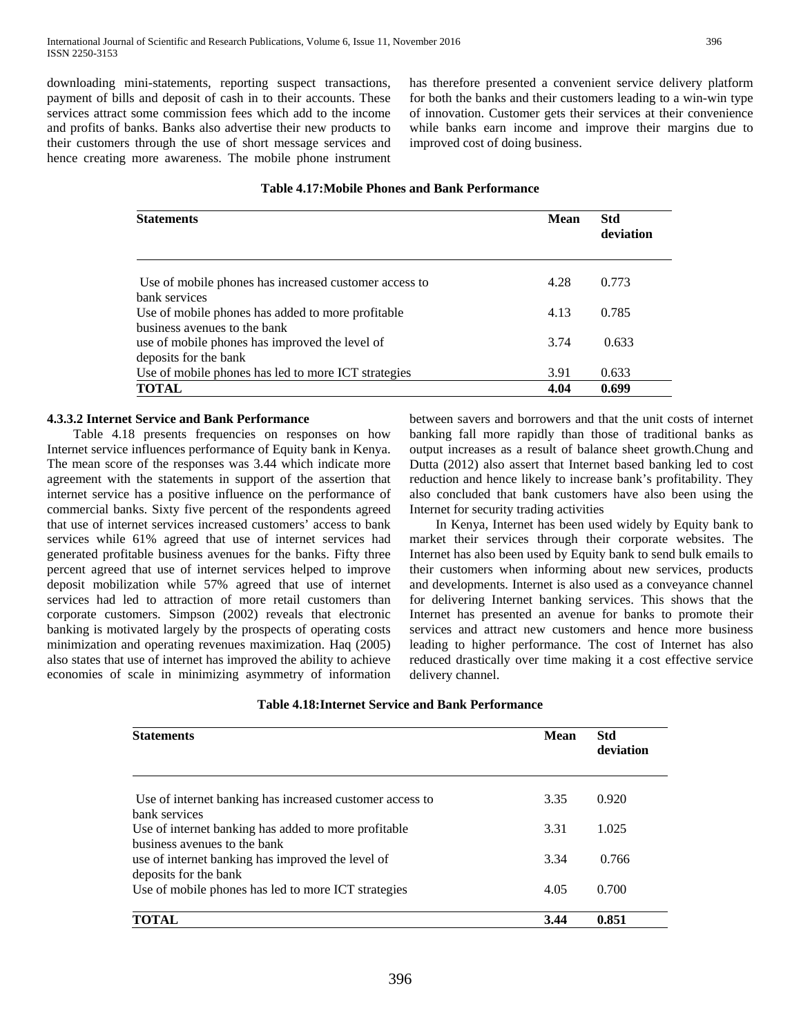downloading mini-statements, reporting suspect transactions, payment of bills and deposit of cash in to their accounts. These services attract some commission fees which add to the income and profits of banks. Banks also advertise their new products to their customers through the use of short message services and hence creating more awareness. The mobile phone instrument has therefore presented a convenient service delivery platform for both the banks and their customers leading to a win-win type of innovation. Customer gets their services at their convenience while banks earn income and improve their margins due to improved cost of doing business.

# **Table 4.17:Mobile Phones and Bank Performance**

| <b>Statements</b>                                                  | <b>Mean</b> | <b>Std</b><br>deviation |
|--------------------------------------------------------------------|-------------|-------------------------|
| Use of mobile phones has increased customer access to              | 4.28        | 0.773                   |
| bank services<br>Use of mobile phones has added to more profitable | 4.13        | 0.785                   |
| business avenues to the bank                                       |             |                         |
| use of mobile phones has improved the level of                     | 3.74        | 0.633                   |
| deposits for the bank                                              |             |                         |
| Use of mobile phones has led to more ICT strategies                | 3.91        | 0.633                   |
| TOTAL                                                              | 4.04        | 0.699                   |

# **4.3.3.2 Internet Service and Bank Performance**

 Table 4.18 presents frequencies on responses on how Internet service influences performance of Equity bank in Kenya. The mean score of the responses was 3.44 which indicate more agreement with the statements in support of the assertion that internet service has a positive influence on the performance of commercial banks. Sixty five percent of the respondents agreed that use of internet services increased customers' access to bank services while 61% agreed that use of internet services had generated profitable business avenues for the banks. Fifty three percent agreed that use of internet services helped to improve deposit mobilization while 57% agreed that use of internet services had led to attraction of more retail customers than corporate customers. Simpson (2002) reveals that electronic banking is motivated largely by the prospects of operating costs minimization and operating revenues maximization. Haq (2005) also states that use of internet has improved the ability to achieve economies of scale in minimizing asymmetry of information between savers and borrowers and that the unit costs of internet banking fall more rapidly than those of traditional banks as output increases as a result of balance sheet growth.Chung and Dutta (2012) also assert that Internet based banking led to cost reduction and hence likely to increase bank's profitability. They also concluded that bank customers have also been using the Internet for security trading activities

 In Kenya, Internet has been used widely by Equity bank to market their services through their corporate websites. The Internet has also been used by Equity bank to send bulk emails to their customers when informing about new services, products and developments. Internet is also used as a conveyance channel for delivering Internet banking services. This shows that the Internet has presented an avenue for banks to promote their services and attract new customers and hence more business leading to higher performance. The cost of Internet has also reduced drastically over time making it a cost effective service delivery channel.

| <b>Statements</b>                                                                    | <b>Mean</b> | <b>Std</b><br>deviation |
|--------------------------------------------------------------------------------------|-------------|-------------------------|
| Use of internet banking has increased customer access to<br>bank services            | 3.35        | 0.920                   |
| Use of internet banking has added to more profitable<br>business avenues to the bank | 3.31        | 1.025                   |
| use of internet banking has improved the level of<br>deposits for the bank           | 3.34        | 0.766                   |
| Use of mobile phones has led to more ICT strategies                                  | 4.05        | 0.700                   |
| <b>TOTAL</b>                                                                         | 3.44        | 0.851                   |

# **Table 4.18:Internet Service and Bank Performance**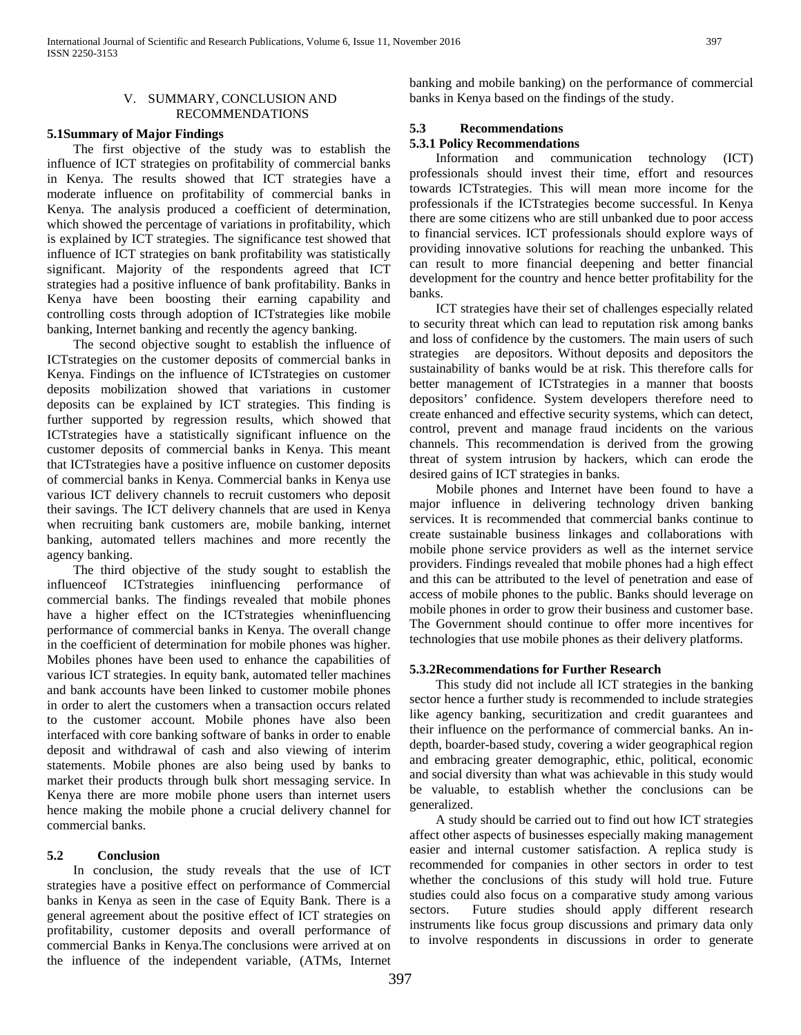#### V. SUMMARY, CONCLUSION AND RECOMMENDATIONS

#### **5.1Summary of Major Findings**

 The first objective of the study was to establish the influence of ICT strategies on profitability of commercial banks in Kenya. The results showed that ICT strategies have a moderate influence on profitability of commercial banks in Kenya. The analysis produced a coefficient of determination, which showed the percentage of variations in profitability, which is explained by ICT strategies. The significance test showed that influence of ICT strategies on bank profitability was statistically significant. Majority of the respondents agreed that ICT strategies had a positive influence of bank profitability. Banks in Kenya have been boosting their earning capability and controlling costs through adoption of ICTstrategies like mobile banking, Internet banking and recently the agency banking.

 The second objective sought to establish the influence of ICTstrategies on the customer deposits of commercial banks in Kenya. Findings on the influence of ICTstrategies on customer deposits mobilization showed that variations in customer deposits can be explained by ICT strategies. This finding is further supported by regression results, which showed that ICTstrategies have a statistically significant influence on the customer deposits of commercial banks in Kenya. This meant that ICTstrategies have a positive influence on customer deposits of commercial banks in Kenya. Commercial banks in Kenya use various ICT delivery channels to recruit customers who deposit their savings. The ICT delivery channels that are used in Kenya when recruiting bank customers are, mobile banking, internet banking, automated tellers machines and more recently the agency banking.

 The third objective of the study sought to establish the influenceof ICTstrategies ininfluencing performance of commercial banks. The findings revealed that mobile phones have a higher effect on the ICTstrategies wheninfluencing performance of commercial banks in Kenya. The overall change in the coefficient of determination for mobile phones was higher. Mobiles phones have been used to enhance the capabilities of various ICT strategies. In equity bank, automated teller machines and bank accounts have been linked to customer mobile phones in order to alert the customers when a transaction occurs related to the customer account. Mobile phones have also been interfaced with core banking software of banks in order to enable deposit and withdrawal of cash and also viewing of interim statements. Mobile phones are also being used by banks to market their products through bulk short messaging service. In Kenya there are more mobile phone users than internet users hence making the mobile phone a crucial delivery channel for commercial banks.

# **5.2 Conclusion**

 In conclusion, the study reveals that the use of ICT strategies have a positive effect on performance of Commercial banks in Kenya as seen in the case of Equity Bank. There is a general agreement about the positive effect of ICT strategies on profitability, customer deposits and overall performance of commercial Banks in Kenya.The conclusions were arrived at on the influence of the independent variable, (ATMs, Internet

banking and mobile banking) on the performance of commercial banks in Kenya based on the findings of the study.

# **5.3 Recommendations**

# **5.3.1 Policy Recommendations**

 Information and communication technology (ICT) professionals should invest their time, effort and resources towards ICTstrategies. This will mean more income for the professionals if the ICTstrategies become successful. In Kenya there are some citizens who are still unbanked due to poor access to financial services. ICT professionals should explore ways of providing innovative solutions for reaching the unbanked. This can result to more financial deepening and better financial development for the country and hence better profitability for the banks.

 ICT strategies have their set of challenges especially related to security threat which can lead to reputation risk among banks and loss of confidence by the customers. The main users of such strategies are depositors. Without deposits and depositors the sustainability of banks would be at risk. This therefore calls for better management of ICTstrategies in a manner that boosts depositors' confidence. System developers therefore need to create enhanced and effective security systems, which can detect, control, prevent and manage fraud incidents on the various channels. This recommendation is derived from the growing threat of system intrusion by hackers, which can erode the desired gains of ICT strategies in banks.

 Mobile phones and Internet have been found to have a major influence in delivering technology driven banking services. It is recommended that commercial banks continue to create sustainable business linkages and collaborations with mobile phone service providers as well as the internet service providers. Findings revealed that mobile phones had a high effect and this can be attributed to the level of penetration and ease of access of mobile phones to the public. Banks should leverage on mobile phones in order to grow their business and customer base. The Government should continue to offer more incentives for technologies that use mobile phones as their delivery platforms.

# **5.3.2Recommendations for Further Research**

 This study did not include all ICT strategies in the banking sector hence a further study is recommended to include strategies like agency banking, securitization and credit guarantees and their influence on the performance of commercial banks. An indepth, boarder-based study, covering a wider geographical region and embracing greater demographic, ethic, political, economic and social diversity than what was achievable in this study would be valuable, to establish whether the conclusions can be generalized.

 A study should be carried out to find out how ICT strategies affect other aspects of businesses especially making management easier and internal customer satisfaction. A replica study is recommended for companies in other sectors in order to test whether the conclusions of this study will hold true. Future studies could also focus on a comparative study among various sectors. Future studies should apply different research instruments like focus group discussions and primary data only to involve respondents in discussions in order to generate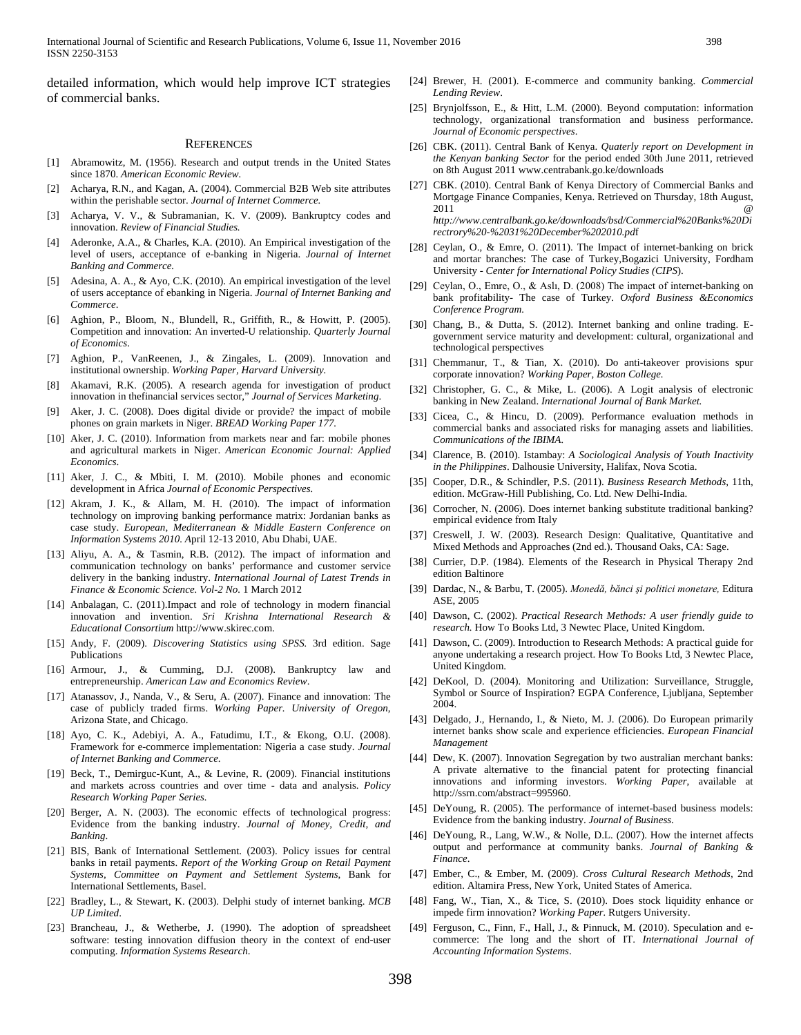detailed information, which would help improve ICT strategies of commercial banks.

#### **REFERENCES**

- [1] Abramowitz, M. (1956). Research and output trends in the United States since 1870. *American Economic Review.*
- Acharya, R.N., and Kagan, A. (2004). Commercial B2B Web site attributes within the perishable sector. *Journal of Internet Commerce.*
- Acharya, V. V., & Subramanian, K. V. (2009). Bankruptcy codes and innovation. *Review of Financial Studies.*
- [4] Aderonke, A.A., & Charles, K.A. (2010). An Empirical investigation of the level of users, acceptance of e-banking in Nigeria. *Journal of Internet Banking and Commerce.*
- [5] Adesina, A. A., & Ayo, C.K. (2010). An empirical investigation of the level of users acceptance of ebanking in Nigeria. *Journal of Internet Banking and Commerce*.
- [6] Aghion, P., Bloom, N., Blundell, R., Griffith, R., & Howitt, P. (2005). Competition and innovation: An inverted-U relationship. *Quarterly Journal of Economics*.
- [7] Aghion, P., VanReenen, J., & Zingales, L. (2009). Innovation and institutional ownership. *Working Paper, Harvard University.*
- [8] Akamavi, R.K. (2005). A research agenda for investigation of product innovation in thefinancial services sector," *Journal of Services Marketing*.
- [9] Aker, J. C. (2008). Does digital divide or provide? the impact of mobile phones on grain markets in Niger. *BREAD Working Paper 177.*
- [10] Aker, J. C. (2010). Information from markets near and far: mobile phones and agricultural markets in Niger. *American Economic Journal: Applied Economics*.
- [11] Aker, J. C., & Mbiti, I. M. (2010). Mobile phones and economic development in Africa *Journal of Economic Perspectives.*
- [12] Akram, J. K., & Allam, M. H. (2010). The impact of information technology on improving banking performance matrix: Jordanian banks as case study. *European, Mediterranean & Middle Eastern Conference on Information Systems 2010. A*pril 12-13 2010, Abu Dhabi, UAE.
- [13] Aliyu, A. A., & Tasmin, R.B. (2012). The impact of information and communication technology on banks' performance and customer service delivery in the banking industry. *International Journal of Latest Trends in Finance & Economic Science. Vol-2 No.* 1 March 2012
- [14] Anbalagan, C. (2011).Impact and role of technology in modern financial innovation and invention. *Sri Krishna International Research & Educational Consortium* http://www.skirec.com.
- [15] Andy, F. (2009). *Discovering Statistics using SPSS.* 3rd edition. Sage Publications
- [16] Armour, J., & Cumming, D.J. (2008). Bankruptcy law and entrepreneurship. *American Law and Economics Review*.
- [17] Atanassov, J., Nanda, V., & Seru, A. (2007). Finance and innovation: The case of publicly traded firms. *Working Paper. University of Oregon*, Arizona State, and Chicago.
- [18] Ayo, C. K., Adebiyi, A. A., Fatudimu, I.T., & Ekong, O.U. (2008). Framework for e-commerce implementation: Nigeria a case study. *Journal of Internet Banking and Commerce*.
- [19] Beck, T., Demirguc-Kunt, A., & Levine, R. (2009). Financial institutions and markets across countries and over time - data and analysis. *Policy Research Working Paper Series.*
- [20] Berger, A. N. (2003). The economic effects of technological progress: Evidence from the banking industry. *Journal of Money, Credit, and Banking*.
- [21] BIS, Bank of International Settlement. (2003). Policy issues for central banks in retail payments. *Report of the Working Group on Retail Payment Systems, Committee on Payment and Settlement Systems*, Bank for International Settlements, Basel.
- [22] Bradley, L., & Stewart, K. (2003). Delphi study of internet banking. *MCB UP Limited*.
- [23] Brancheau, J., & Wetherbe, J. (1990). The adoption of spreadsheet software: testing innovation diffusion theory in the context of end-user computing. *Information Systems Research*.
- [24] Brewer, H. (2001). E-commerce and community banking. *Commercial Lending Review*.
- [25] Brynjolfsson, E., & Hitt, L.M. (2000). Beyond computation: information technology, organizational transformation and business performance. *Journal of Economic perspectives*.
- [26] CBK. (2011). Central Bank of Kenya. *Quaterly report on Development in the Kenyan banking Sector* for the period ended 30th June 2011, retrieved on 8th August 2011 www.centrabank.go.ke/downloads
- [27] CBK. (2010). Central Bank of Kenya Directory of Commercial Banks and Mortgage Finance Companies, Kenya. Retrieved on Thursday, 18th August,  $2011$   $@$ *http://www.centralbank.go.ke/downloads/bsd/Commercial%20Banks%20Di rectrory%20-%2031%20December%202010.pd*f
- [28] Ceylan, O., & Emre, O. (2011). The Impact of internet-banking on brick and mortar branches: The case of Turkey,Bogazici University, Fordham University - *Center for International Policy Studies (CIPS*).
- [29] Ceylan, O., Emre, O., & Aslı, D. (2008) The impact of internet-banking on bank profitability- The case of Turkey. *Oxford Business &Economics Conference Program.*
- [30] Chang, B., & Dutta, S. (2012). Internet banking and online trading. Egovernment service maturity and development: cultural, organizational and technological perspectives
- [31] Chemmanur, T., & Tian, X. (2010). Do anti-takeover provisions spur corporate innovation? *Working Paper, Boston College.*
- [32] Christopher, G. C., & Mike, L. (2006). A Logit analysis of electronic banking in New Zealand. *International Journal of Bank Market.*
- [33] Cicea, C., & Hincu, D. (2009). Performance evaluation methods in commercial banks and associated risks for managing assets and liabilities. *Communications of the IBIMA.*
- [34] Clarence, B. (2010). Istambay: *A Sociological Analysis of Youth Inactivity in the Philippines*. Dalhousie University, Halifax, Nova Scotia.
- [35] Cooper, D.R., & Schindler, P.S. (2011). *Business Research Methods,* 11th, edition. McGraw-Hill Publishing, Co. Ltd. New Delhi-India.
- [36] Corrocher, N. (2006). Does internet banking substitute traditional banking? empirical evidence from Italy
- [37] Creswell, J. W. (2003). Research Design: Qualitative, Quantitative and Mixed Methods and Approaches (2nd ed.). Thousand Oaks, CA: Sage.
- [38] Currier, D.P. (1984). Elements of the Research in Physical Therapy 2nd edition Baltinore
- [39] Dardac, N., & Barbu, T. (2005). *Monedă, bănci şi politici monetare,* Editura ASE, 2005
- [40] Dawson, C. (2002). *Practical Research Methods: A user friendly guide to research.* How To Books Ltd, 3 Newtec Place, United Kingdom.
- [41] Dawson, C. (2009). Introduction to Research Methods: A practical guide for anyone undertaking a research project. How To Books Ltd, 3 Newtec Place, United Kingdom.
- [42] DeKool, D. (2004). Monitoring and Utilization: Surveillance, Struggle, Symbol or Source of Inspiration? EGPA Conference, Ljubljana, September 2004.
- [43] Delgado, J., Hernando, I., & Nieto, M. J. (2006). Do European primarily internet banks show scale and experience efficiencies. *European Financial Management*
- [44] Dew, K. (2007). Innovation Segregation by two australian merchant banks: A private alternative to the financial patent for protecting financial innovations and informing investors. *Working Paper*, available at http://ssrn.com/abstract=995960.
- [45] DeYoung, R. (2005). The performance of internet-based business models: Evidence from the banking industry. *Journal of Business*.
- [46] DeYoung, R., Lang, W.W., & Nolle, D.L. (2007). How the internet affects output and performance at community banks. *Journal of Banking & Finance*.
- [47] Ember, C., & Ember, M. (2009). *Cross Cultural Research Methods*, 2nd edition. Altamira Press, New York, United States of America.
- [48] Fang, W., Tian, X., & Tice, S. (2010). Does stock liquidity enhance or impede firm innovation? *Working Paper.* Rutgers University.
- [49] Ferguson, C., Finn, F., Hall, J., & Pinnuck, M. (2010). Speculation and ecommerce: The long and the short of IT. *International Journal of Accounting Information Systems*.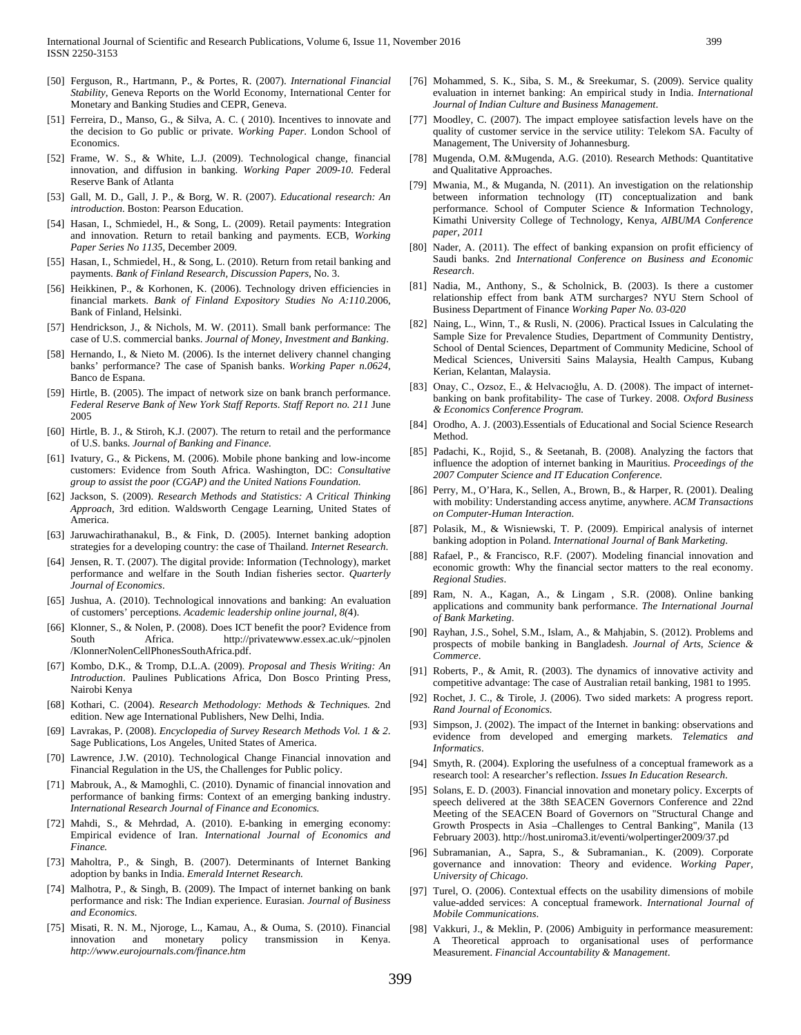- [50] Ferguson, R., Hartmann, P., & Portes, R. (2007). *International Financial Stability*, Geneva Reports on the World Economy, International Center for Monetary and Banking Studies and CEPR, Geneva.
- [51] Ferreira, D., Manso, G., & Silva, A. C. ( 2010). Incentives to innovate and the decision to Go public or private. *Working Paper*. London School of **Economics**
- [52] Frame, W. S., & White, L.J. (2009). Technological change, financial innovation, and diffusion in banking. *Working Paper 2009-10.* Federal Reserve Bank of Atlanta
- [53] Gall, M. D., Gall, J. P., & Borg, W. R. (2007). *Educational research: An introduction*. Boston: Pearson Education.
- [54] Hasan, I., Schmiedel, H., & Song, L. (2009). Retail payments: Integration and innovation. Return to retail banking and payments. ECB*, Working Paper Series No 1135*, December 2009.
- [55] Hasan, I., Schmiedel, H., & Song, L. (2010). Return from retail banking and payments. *Bank of Finland Research, Discussion Papers*, No. 3.
- [56] Heikkinen, P., & Korhonen, K. (2006). Technology driven efficiencies in financial markets. *Bank of Finland Expository Studies No A:110*.2006, Bank of Finland, Helsinki.
- [57] Hendrickson, J., & Nichols, M. W. (2011). Small bank performance: The case of U.S. commercial banks. *Journal of Money*, *Investment and Banking*.
- [58] Hernando, I., & Nieto M. (2006). Is the internet delivery channel changing banks' performance? The case of Spanish banks. *Working Paper n.0624,*  Banco de Espana.
- [59] Hirtle, B. (2005). The impact of network size on bank branch performance. *Federal Reserve Bank of New York Staff Reports*. *Staff Report no. 211* June 2005
- [60] Hirtle, B. J., & Stiroh, K.J. (2007). The return to retail and the performance of U.S. banks. *Journal of Banking and Finance.*
- [61] Ivatury, G., & Pickens, M. (2006). Mobile phone banking and low-income customers: Evidence from South Africa. Washington, DC: *Consultative group to assist the poor (CGAP) and the United Nations Foundation.*
- [62] Jackson, S. (2009). *Research Methods and Statistics: A Critical Thinking Approach*, 3rd edition. Waldsworth Cengage Learning, United States of America.
- [63] Jaruwachirathanakul, B., & Fink, D. (2005). Internet banking adoption strategies for a developing country: the case of Thailand. *Internet Research*.
- [64] Jensen, R. T. (2007). The digital provide: Information (Technology), market performance and welfare in the South Indian fisheries sector. *Quarterly Journal of Economics*.
- [65] Jushua, A. (2010). Technological innovations and banking: An evaluation of customers' perceptions. *Academic leadership online journal, 8(*4).
- [66] Klonner, S., & Nolen, P. (2008). Does ICT benefit the poor? Evidence from South Africa. http://privatewww.essex.ac.uk/~pjnolen /KlonnerNolenCellPhonesSouthAfrica.pdf.
- [67] Kombo, D.K., & Tromp, D.L.A. (2009). *Proposal and Thesis Writing: An Introduction*. Paulines Publications Africa, Don Bosco Printing Press, Nairobi Kenya
- [68] Kothari, C. (2004). *Research Methodology: Methods & Techniques.* 2nd edition. New age International Publishers, New Delhi, India.
- [69] Lavrakas, P. (2008). *Encyclopedia of Survey Research Methods Vol. 1 & 2*. Sage Publications, Los Angeles, United States of America.
- [70] Lawrence, J.W. (2010). Technological Change Financial innovation and Financial Regulation in the US, the Challenges for Public policy.
- [71] Mabrouk, A., & Mamoghli, C. (2010). Dynamic of financial innovation and performance of banking firms: Context of an emerging banking industry. *International Research Journal of Finance and Economics.*
- [72] Mahdi, S., & Mehrdad, A. (2010). E-banking in emerging economy: Empirical evidence of Iran. *International Journal of Economics and Finance.*
- [73] Maholtra, P., & Singh, B. (2007). Determinants of Internet Banking adoption by banks in India. *Emerald Internet Research.*
- [74] Malhotra, P., & Singh, B. (2009). The Impact of internet banking on bank performance and risk: The Indian experience. Eurasian. *Journal of Business and Economics.*
- [75] Misati, R. N. M., Njoroge, L., Kamau, A., & Ouma, S. (2010). Financial innovation and monetary policy transmission in Kenya. *http://www.eurojournals.com/finance.htm*
- [76] Mohammed, S. K., Siba, S. M., & Sreekumar, S. (2009). Service quality evaluation in internet banking: An empirical study in India. *International Journal of Indian Culture and Business Management*.
- [77] Moodley, C. (2007). The impact employee satisfaction levels have on the quality of customer service in the service utility: Telekom SA. Faculty of Management, The University of Johannesburg.
- [78] Mugenda, O.M. &Mugenda, A.G. (2010). Research Methods: Quantitative and Qualitative Approaches.
- [79] Mwania, M., & Muganda, N. (2011). An investigation on the relationship between information technology (IT) conceptualization and bank performance. School of Computer Science & Information Technology, Kimathi University College of Technology, Kenya, *AIBUMA Conference paper, 2011*
- [80] Nader, A. (2011). The effect of banking expansion on profit efficiency of Saudi banks. 2nd *International Conference on Business and Economic Research*.
- [81] Nadia, M., Anthony, S., & Scholnick, B. (2003). Is there a customer relationship effect from bank ATM surcharges? NYU Stern School of Business Department of Finance *Working Paper No. 03-020*
- [82] Naing, L., Winn, T., & Rusli, N. (2006). Practical Issues in Calculating the Sample Size for Prevalence Studies, Department of Community Dentistry, School of Dental Sciences, Department of Community Medicine, School of Medical Sciences, Universiti Sains Malaysia, Health Campus, Kubang Kerian, Kelantan, Malaysia.
- [83] Onay, C., Ozsoz, E., & Helvacıoğlu, A. D. (2008). The impact of internetbanking on bank profitability- The case of Turkey. 2008. *Oxford Business & Economics Conference Program.*
- [84] Orodho, A. J. (2003). Essentials of Educational and Social Science Research Method.
- [85] Padachi, K., Rojid, S., & Seetanah, B. (2008). Analyzing the factors that influence the adoption of internet banking in Mauritius. *Proceedings of the 2007 Computer Science and IT Education Conference.*
- [86] Perry, M., O'Hara, K., Sellen, A., Brown, B., & Harper, R. (2001). Dealing with mobility: Understanding access anytime, anywhere. *ACM Transactions on Computer-Human Interaction*.
- [87] Polasik, M., & Wisniewski, T. P. (2009). Empirical analysis of internet banking adoption in Poland. *International Journal of Bank Marketing*.
- [88] Rafael, P., & Francisco, R.F. (2007). Modeling financial innovation and economic growth: Why the financial sector matters to the real economy. *Regional Studies*.
- [89] Ram, N. A., Kagan, A., & Lingam , S.R. (2008). Online banking applications and community bank performance. *The International Journal of Bank Marketing*.
- [90] Rayhan, J.S., Sohel, S.M., Islam, A., & Mahjabin, S. (2012). Problems and prospects of mobile banking in Bangladesh. *Journal of Arts, Science & Commerce*.
- [91] Roberts, P., & Amit, R. (2003). The dynamics of innovative activity and competitive advantage: The case of Australian retail banking, 1981 to 1995.
- [92] Rochet, J. C., & Tirole, J. (2006). Two sided markets: A progress report. *Rand Journal of Economics.*
- [93] Simpson, J. (2002). The impact of the Internet in banking: observations and evidence from developed and emerging markets. *Telematics and Informatics*.
- [94] Smyth, R. (2004). Exploring the usefulness of a conceptual framework as a research tool: A researcher's reflection. *Issues In Education Research*.
- [95] Solans, E. D. (2003). Financial innovation and monetary policy. Excerpts of speech delivered at the 38th SEACEN Governors Conference and 22nd Meeting of the SEACEN Board of Governors on "Structural Change and Growth Prospects in Asia –Challenges to Central Banking", Manila (13 February 2003). http://host.uniroma3.it/eventi/wolpertinger2009/37.pd
- [96] Subramanian, A., Sapra, S., & Subramanian., K. (2009). Corporate governance and innovation: Theory and evidence. *Working Paper, University of Chicago*.
- [97] Turel, O. (2006). Contextual effects on the usability dimensions of mobile value-added services: A conceptual framework. *International Journal of Mobile Communications*.
- [98] Vakkuri, J., & Meklin, P. (2006) Ambiguity in performance measurement: A Theoretical approach to organisational uses of performance Measurement. *Financial Accountability & Management*.

399